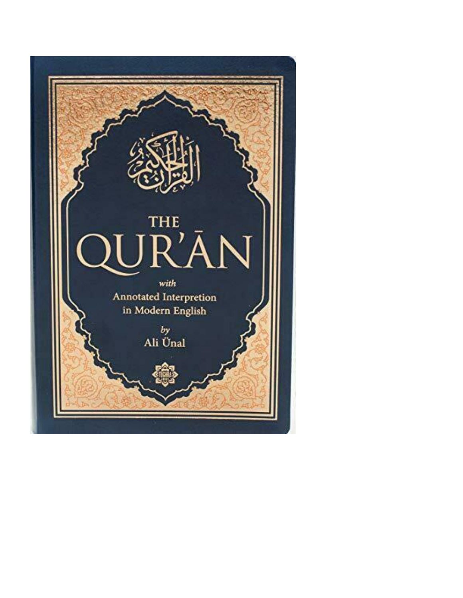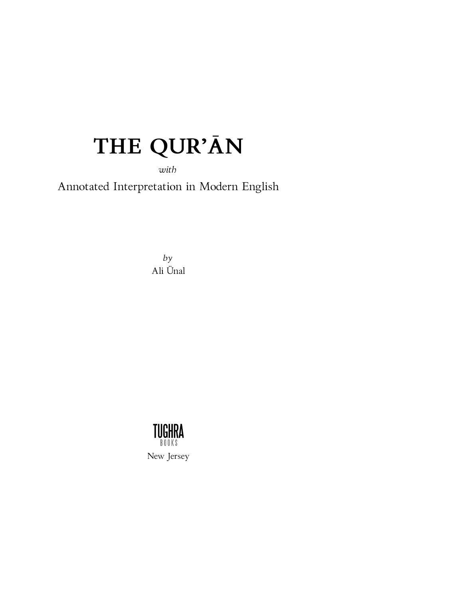# THE QUR'AN

 $with$ 

Annotated Interpretation in Modern English

 $by$ Ali Ünal

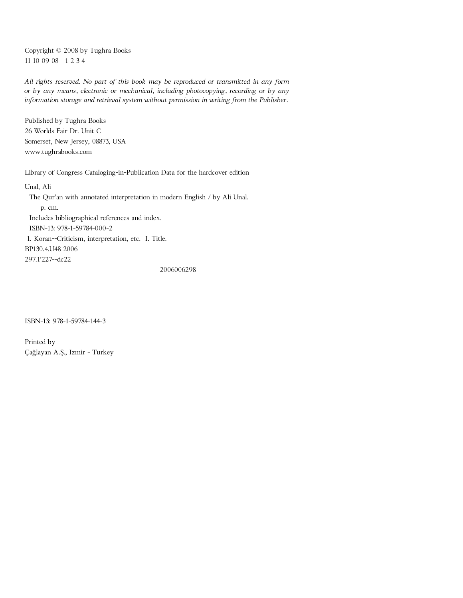Copyright © 2008 by Tughra Books 11 10 09 08 1 2 3 4

*All rights reserved. No part of this book may be reproduced or transmitted in any form or by any means, electronic or mechanical, including photocopying, recording or by any information storage and retrieval system without permission in writing from the Publisher.*

Published by Tughra Books 26 Worlds Fair Dr. Unit C Somerset, New Jersey, 08873, USA www.tughrabooks.com

Library of Congress Cataloging-in-Publication Data for the hardcover edition

#### Unal, Ali

 The Qur'an with annotated interpretation in modern English / by Ali Unal. p. cm.

 Includes bibliographical references and index. ISBN-13: 978-1-59784-000-2 1. Koran--Criticism, interpretation, etc. I. Title. BP130.4.U48 2006

297.1'227--dc22

2006006298

ISBN-13: 978-1-59784-144-3

Printed by Çağlayan A.Ş., Izmir - Turkey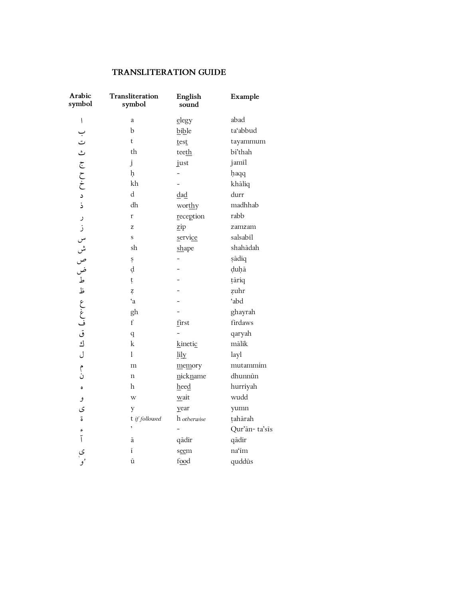## **TRANSLITERATION GUIDE**

| Transliteration<br>symbol | English<br>sound | Example       |
|---------------------------|------------------|---------------|
| a                         | elegy            | abad          |
| b                         | bible            | ta'abbud      |
| t                         | test             | tayammum      |
| th                        | teeth            | bi'thah       |
| j                         | just             | jamīl         |
| h.                        |                  | haqq          |
| kh                        |                  | khāliq        |
| $\mathbf d$               | dad              | durr          |
| dh                        | worthy           | madhhab       |
| $\mathbf{r}$              | reception        | rabb          |
| Z                         | zip              | zamzam        |
| S                         | service          | salsabīl      |
| sh                        | shape            | shahādah      |
| Ş                         |                  | sādiq         |
| d                         |                  | duhā          |
| ţ                         |                  | țāriq         |
| Z.                        |                  | zuhr          |
| $\cdot_a$                 |                  | 'abd          |
| gh                        |                  | ghayrah       |
| $\rm f$                   | first            | firdaws       |
| q                         |                  | qaryah        |
| k                         | kinetic          | mālik         |
| $\mathbf{1}$              | lily             | layl          |
| m                         | memory           | mutammim      |
| $\mathbf n$               | nickname         | dhunnūn       |
| h                         | heed             | hurriyah      |
| W                         | wait             | wudd          |
| y                         | year             | yumn          |
| t if followed             | h otherwise      | țahārah       |
|                           |                  | Qur'ān-ta'sīs |
| ā                         | qādir            | qādir         |
| $\overline{\text{i}}$     | seem             | na'im         |
| ū                         | food             | quddūs        |
|                           |                  |               |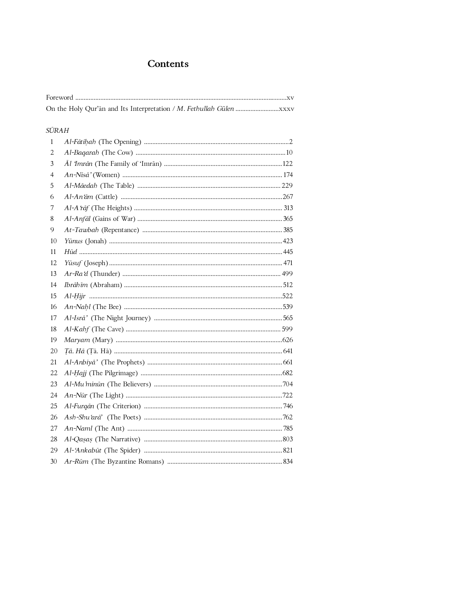## Contents

### $\tilde{SURAH}$

| $\mathbf{1}$ |  |
|--------------|--|
| 2            |  |
| 3            |  |
| 4            |  |
| 5            |  |
| 6            |  |
| 7            |  |
| 8            |  |
| 9            |  |
| 10           |  |
| 11           |  |
| 12           |  |
| 13           |  |
| 14           |  |
| 15           |  |
| 16           |  |
| 17           |  |
| 18           |  |
| 19           |  |
| 20           |  |
| 21           |  |
| 22           |  |
| 23           |  |
| 24           |  |
| 25           |  |
| 26           |  |
| 27           |  |
| 28           |  |
| 29           |  |
| 30           |  |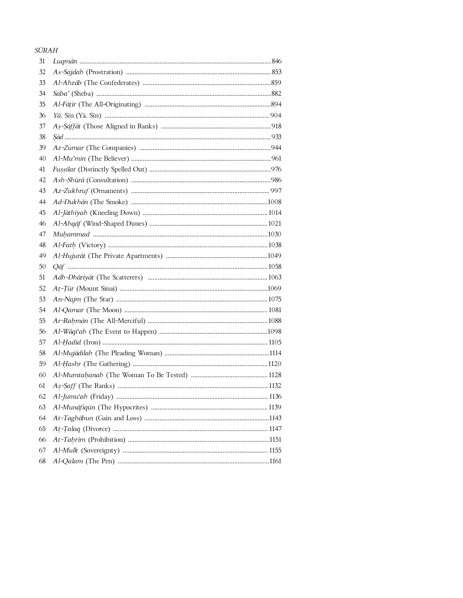## $\tilde{SURAH}$

| 31 |  |
|----|--|
| 32 |  |
| 33 |  |
| 34 |  |
| 35 |  |
| 36 |  |
| 37 |  |
| 38 |  |
| 39 |  |
| 40 |  |
| 41 |  |
| 42 |  |
| 43 |  |
| 44 |  |
| 45 |  |
| 46 |  |
| 47 |  |
| 48 |  |
| 49 |  |
| 50 |  |
| 51 |  |
| 52 |  |
| 53 |  |
| 54 |  |
| 55 |  |
| 56 |  |
| 57 |  |
| 58 |  |
| 59 |  |
| 60 |  |
| 61 |  |
| 62 |  |
| 63 |  |
| 64 |  |
| 65 |  |
| 66 |  |
| 67 |  |
| 68 |  |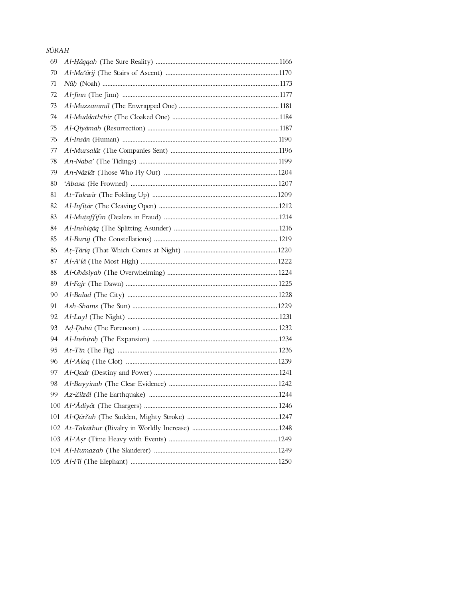| <i>SURAH</i> |  |
|--------------|--|
| 69           |  |
| 70           |  |
| 71           |  |
| 72           |  |
| 73           |  |
| 74           |  |
| 75           |  |
| 76           |  |
| 77           |  |
| 78           |  |
| 79           |  |
| 80           |  |
| 81           |  |
| 82           |  |
| 83           |  |
| 84           |  |
| 85           |  |
| 86           |  |
| 87           |  |
| 88           |  |
| 89           |  |
| 90           |  |
| 91           |  |
| 92           |  |
| 93           |  |
| 94           |  |
| 95           |  |
| 96           |  |
| 97           |  |
| 98           |  |
| 99           |  |
|              |  |
|              |  |
|              |  |
|              |  |
|              |  |
|              |  |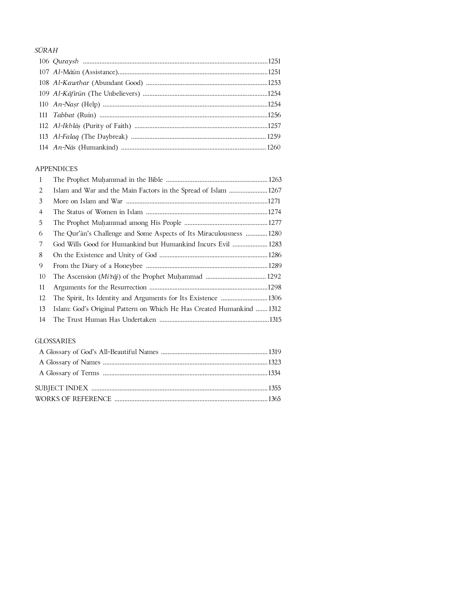## $S\bar{U}RAH$

#### **APPENDICES**

| 1  |                                                                       |
|----|-----------------------------------------------------------------------|
| 2  | Islam and War and the Main Factors in the Spread of Islam  1267       |
| 3  |                                                                       |
| 4  |                                                                       |
| 5  |                                                                       |
| 6  | The Qur'an's Challenge and Some Aspects of Its Miraculousness 1280    |
| 7  | God Wills Good for Humankind but Humankind Incurs Evil  1283          |
| 8  |                                                                       |
| 9  |                                                                       |
| 10 |                                                                       |
| 11 |                                                                       |
| 12 |                                                                       |
| 13 | Islam: God's Original Pattern on Which He Has Created Humankind  1312 |
| 14 |                                                                       |

## **GLOSSARIES**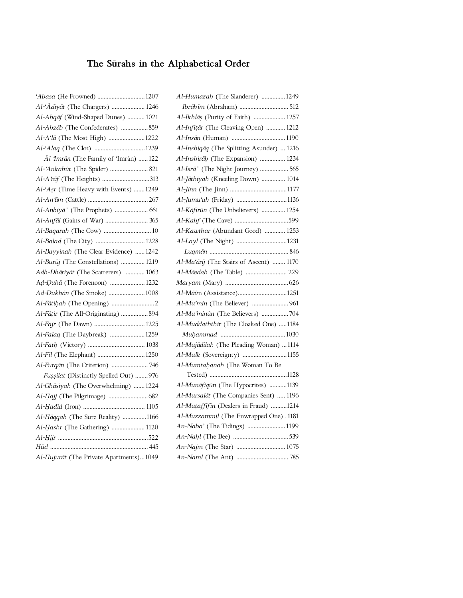## **The Sūrahs in the Alphabetical Order**

| 'Abasa (He Frowned)  1207               |
|-----------------------------------------|
| Al-'Ādiyāt (The Chargers)  1246         |
| Al-Ahqāf (Wind-Shaped Dunes)  1021      |
| Al-Ahzāb (The Confederates)  859        |
| Al-A'lā (The Most High) 1222            |
|                                         |
| Al Imrān (The Family of 'Imrān) 122     |
| Al-'Ankabūt (The Spider)  821           |
| Al-A raf (The Heights) 313              |
| Al-'Aşr (Time Heavy with Events) 1249   |
|                                         |
| Al-Anbiyā' (The Prophets)  661          |
| Al-Anfāl (Gains of War)  365            |
| Al-Baqarah (The Cow)  10                |
| Al-Balad (The City)  1228               |
| Al-Bayyinah (The Clear Evidence)  1242  |
| Al-Burūj (The Constellations)  1219     |
| Adh-Dhāriyāt (The Scatterers)  1063     |
| Ad-Duhā (The Forenoon)  1232            |
| Ad-Dukhān (The Smoke)  1008             |
|                                         |
| Al-Fāṭir (The All-Originating) 894      |
| Al-Fajr (The Dawn)  1225                |
| Al-Falaq (The Daybreak) 1259            |
|                                         |
| Al-Fil (The Elephant)  1250             |
| Al-Furqān (The Criterion)  746          |
| Fușșilat (Distinctly Spelled Out) 976   |
| Al-Ghāsiyah (The Overwhelming)  1224    |
|                                         |
|                                         |
| Al-Hāqqah (The Sure Reality) 1166       |
| Al-Hashr (The Gathering)  1120          |
|                                         |
|                                         |
| Al-Hujurāt (The Private Apartments)1049 |
|                                         |

| Al-Humazah (The Slanderer) 1249           |
|-------------------------------------------|
| Ibrāhīm (Abraham)  512                    |
| Al-Ikhlās (Purity of Faith)  1257         |
| Al-Infițăr (The Cleaving Open)  1212      |
|                                           |
| Al-Inshiqaq (The Splitting Asunder)  1216 |
| Al-Inshirah (The Expansion)  1234         |
| Al-Isrā' (The Night Journey)  565         |
| Al-Jāthiyah (Kneeling Down)  1014         |
|                                           |
| Al-Jumu'ah (Friday) 1136                  |
| Al-Kāfirūn (The Unbelievers)  1254        |
|                                           |
| Al-Kawthar (Abundant Good)  1253          |
| Al-Layl (The Night) 1231                  |
|                                           |
| Al-Ma'ārij (The Stairs of Ascent)  1170   |
| Al-Māedah (The Table)  229                |
|                                           |
|                                           |
| Al-Māūn (Assistance)1251                  |
| Al-Mu'min (The Believer)  961             |
| Al-Mu'minūn (The Believers) 704           |
| Al-Muddaththir (The Cloaked One) 1184     |
|                                           |
| Al-Mujādilah (The Pleading Woman) 1114    |
| Al-Mulk (Sovereignty) 1155                |
| Al-Mumtahanah (The Woman To Be            |
|                                           |
| Al-Munāfiqūn (The Hypocrites) 1139        |
| Al-Mursalāt (The Companies Sent)  1196    |
| Al-Mutaffifin (Dealers in Fraud) 1214     |
| Al-Muzzammil (The Enwrapped One) .1181    |
| An-Naba' (The Tidings)  1199              |
|                                           |
| An-Najm (The Star)  1075                  |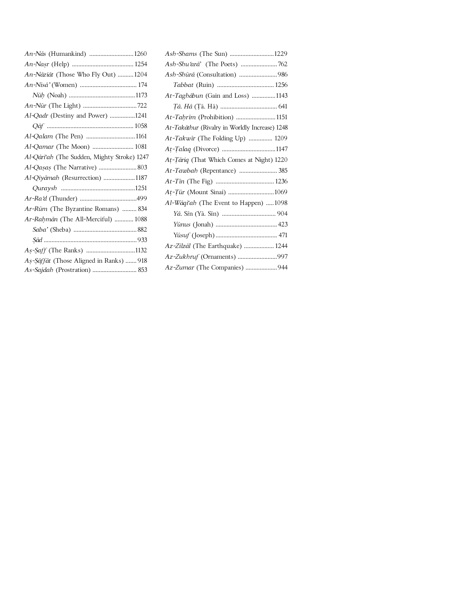| <i>An-Nās</i> (Humankind) 1260              |
|---------------------------------------------|
|                                             |
| An-Nāziāt (Those Who Fly Out) 1204          |
|                                             |
|                                             |
|                                             |
| Al-Qadr (Destiny and Power) 1241            |
|                                             |
| Al-Qalam (The Pen) 1161                     |
| Al-Qamar (The Moon)  1081                   |
| Al-Qāri'ah (The Sudden, Mighty Stroke) 1247 |
| Al-Qașaș (The Narrative)  803               |
| Al-Qiyāmah (Resurrection) 1187              |
|                                             |
|                                             |
| Ar-Rūm (The Byzantine Romans)  834          |
| Ar-Rahmān (The All-Merciful)  1088          |
|                                             |
|                                             |
| As-Saff (The Ranks) 1132                    |
| As-Sāffāt (Those Aligned in Ranks)  918     |
| As-Sajdah (Prostration)  853                |

| -Nās (Humankind)  1260                           | Ash-Shams (The Sun) 1229                       |
|--------------------------------------------------|------------------------------------------------|
|                                                  |                                                |
| -Nāziāt (Those Who Fly Out) 1204                 |                                                |
|                                                  |                                                |
|                                                  | At-Taghābun (Gain and Loss) 1143               |
|                                                  |                                                |
| Qadr (Destiny and Power) 1241                    | At-Taḥrīm (Prohibition) 1151                   |
|                                                  | At-Takāthur (Rivalry in Worldly Increase) 1248 |
| Qalam (The Pen) 1161                             | At-Takwir (The Folding Up)  1209               |
| Qamar (The Moon)  1081                           | At-Talaq (Divorce) 1147                        |
| <i>Qāri'ah (T</i> he Sudden, Mighty Stroke) 1247 | At-Tāriq (That Which Comes at Night) 1220      |
|                                                  |                                                |
| Qiyāmah (Resurrection) 1187                      |                                                |
|                                                  | At-Tūr (Mount Sinai) 1069                      |
|                                                  | <i>Al-Wāqi'ah</i> (The Event to Happen) 1098   |
| Rūm (The Byzantine Romans)  834                  |                                                |
| <i>-Raḥmān (The All-Merciful) </i> 1088          |                                                |
|                                                  |                                                |
|                                                  |                                                |
| -Saff (The Ranks) 1132                           | Az-Zilzāl (The Earthquake)  1244               |
| -Sāffāt (Those Aligned in Ranks)  918            | Az-Zukhruf (Ornaments) 997                     |
|                                                  | Az-Zumar (The Companies) 944                   |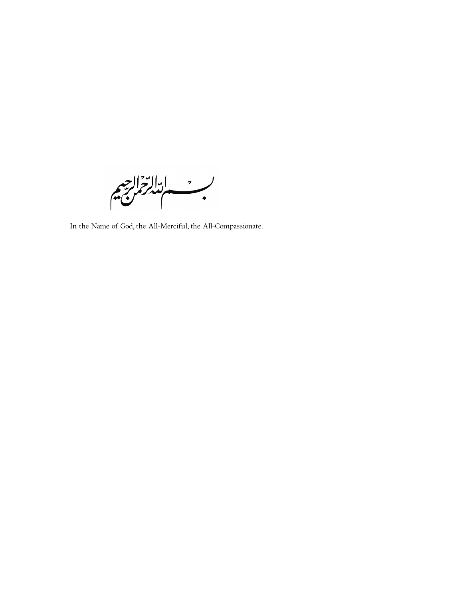ابالترخم  $\overrightarrow{\cdot}$ يعجم

In the Name of God, the All-Merciful, the All-Compassionate.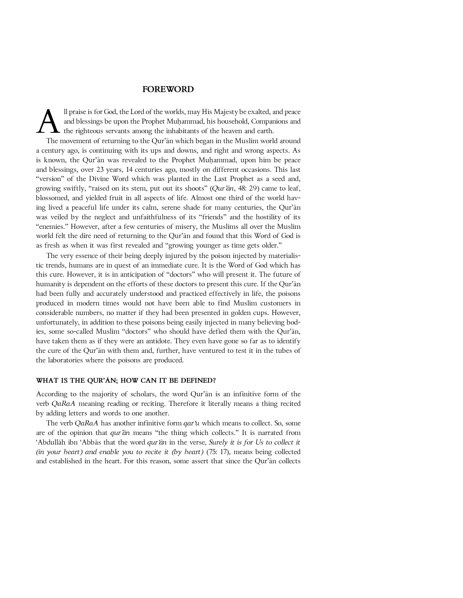#### **FOREWORD**

All praise is for God, the Lord of the worlds, may His Majesty be exalted, and peace and blessings be upon the Prophet Muhammad, his household, Companions and the righteous servants among the inhabitants of the heaven and earth.

The movement of returning to the Qur'ān which began in the Muslim world around a century ago, is continuing with its ups and downs, and right and wrong aspects. As is known, the Qur'ān was revealed to the Prophet Muhammad, upon him be peace and blessings, over 23 years, 14 centuries ago, mostly on different occasions. This last "version" of the Divine Word which was planted in the Last Prophet as a seed and, growing swiftly, "raised on its stem, put out its shoots" (*Qur'ān*, 48: 29) came to leaf, blossomed, and yielded fruit in all aspects of life. Almost one third of the world having lived a peaceful life under its calm, serene shade for many centuries, the Qur'ān was veiled by the neglect and unfaithfulness of its "friends" and the hostility of its "enemies." However, after a few centuries of misery, the Muslims all over the Muslim world felt the dire need of returning to the Qur'ān and found that this Word of God is as fresh as when it was first revealed and "growing younger as time gets older."

The very essence of their being deeply injured by the poison injected by materialistic trends, humans are in quest of an immediate cure. It is the Word of God which has this cure. However, it is in anticipation of "doctors" who will present it. The future of humanity is dependent on the efforts of these doctors to present this cure. If the Qur'ān had been fully and accurately understood and practiced effectively in life, the poisons produced in modern times would not have been able to find Muslim customers in considerable numbers, no matter if they had been presented in golden cups. However, unfortunately, in addition to these poisons being easily injected in many believing bodies, some so-called Muslim "doctors" who should have defied them with the Qur'ān, have taken them as if they were an antidote. They even have gone so far as to identify the cure of the Qur'ān with them and, further, have ventured to test it in the tubes of the laboratories where the poisons are produced.

#### **WHAT IS THE QUR'ĀN; HOW CAN IT BE DEFINED?**

According to the majority of scholars, the word Qur'ān is an infinitive form of the verb *QaRaA* meaning reading or reciting. Therefore it literally means a thing recited by adding letters and words to one another.

The verb *QaRaA* has another infinitive form *qar'u* which means to collect. So, some are of the opinion that *qur'ān* means "the thing which collects." It is narrated from 'Abdullāh ibn 'Abbās that the word *qur'ān* in the verse, *Surely it is for Us to collect it (in your heart) and enable you to recite it (by heart)* (75: 17), means being collected and established in the heart. For this reason, some assert that since the Qur'ān collects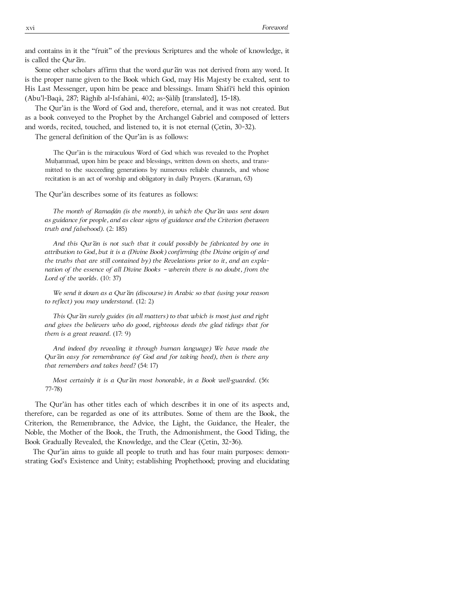and contains in it the "fruit" of the previous Scriptures and the whole of knowledge, it is called the *Qur'ān*.

Some other scholars affirm that the word *qur'ān* was not derived from any word. It is the proper name given to the Book which God, may His Majesty be exalted, sent to His Last Messenger, upon him be peace and blessings. Imam Shāfi'ī held this opinion (Abu'l-Baqā, 287; Rāghib al-Isfahānī, 402; as-Ԍāliḥ [translated], 15**-**18).

The Qur'ān is the Word of God and, therefore, eternal, and it was not created. But as a book conveyed to the Prophet by the Archangel Gabriel and composed of letters and words, recited, touched, and listened to, it is not eternal (Çetin, 30-32).

The general definition of the Qur'ān is as follows:

The Qur'ān is the miraculous Word of God which was revealed to the Prophet Muḥammad, upon him be peace and blessings, written down on sheets, and transmitted to the succeeding generations by numerous reliable channels, and whose recitation is an act of worship and obligatory in daily Prayers. (Karaman, 63)

The Qur'ān describes some of its features as follows:

*The month of Ramaḍān (is the month), in which the Qur'ān was sent down as guidance for people, and as clear signs of guidance and the Criterion (between truth and falsehood)*. (2: 185)

*And this Qur'ān is not such that it could possibly be fabricated by one in attribution to God, but it is a (Divine Book) confirming (the Divine origin of and the truths that are still contained by) the Revelations prior to it, and an explanation of the essence of all Divine Books – wherein there is no doubt, from the Lord of the worlds.* (10: 37)

*We send it down as a Qur'ān (discourse) in Arabic so that (using your reason to reflect) you may understand*. (12: 2)

*This Qur'ān surely guides (in all matters) to that which is most just and right and gives the believers who do good, righteous deeds the glad tidings that for them is a great reward*. (17: 9)

*And indeed (by revealing it through human language) We have made the Qur'ān easy for remembrance (of God and for taking heed), then is there any that remembers and takes heed?* (54: 17)

*Most certainly it is a Qur'ān most honorable, in a Book well-guarded*. (56: 77-78)

The Qur'ān has other titles each of which describes it in one of its aspects and, therefore, can be regarded as one of its attributes. Some of them are the Book, the Criterion, the Remembrance, the Advice, the Light, the Guidance, the Healer, the Noble, the Mother of the Book, the Truth, the Admonishment, the Good Tiding, the Book Gradually Revealed, the Knowledge, and the Clear (Çetin, 32-36).

The Qur'ān aims to guide all people to truth and has four main purposes: demonstrating God's Existence and Unity; establishing Prophethood; proving and elucidating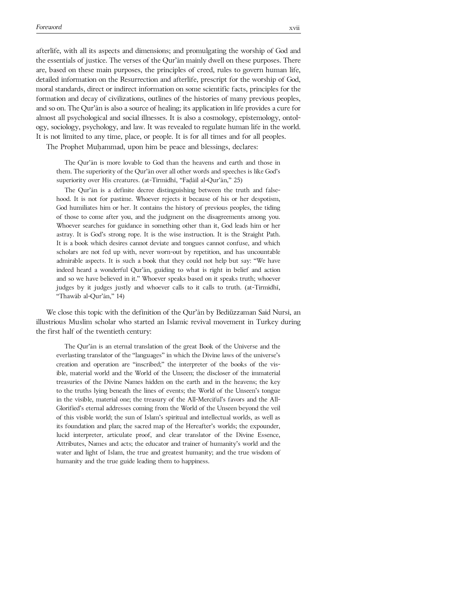afterlife, with all its aspects and dimensions; and promulgating the worship of God and the essentials of justice. The verses of the Qur'ān mainly dwell on these purposes. There are, based on these main purposes, the principles of creed, rules to govern human life, detailed information on the Resurrection and afterlife, prescript for the worship of God, moral standards, direct or indirect information on some scientific facts, principles for the formation and decay of civilizations, outlines of the histories of many previous peoples, and so on. The Qur'ān is also a source of healing; its application in life provides a cure for almost all psychological and social illnesses. It is also a cosmology, epistemology, ontology, sociology, psychology, and law. It was revealed to regulate human life in the world. It is not limited to any time, place, or people. It is for all times and for all peoples.

The Prophet Muhammad, upon him be peace and blessings, declares:

The Qur'ān is more lovable to God than the heavens and earth and those in them. The superiority of the Qur'ān over all other words and speeches is like God's superiority over His creatures. (at-Tirmidhī, "Faḍāil al-Qur'ān," 25)

The Qur'ān is a definite decree distinguishing between the truth and falsehood. It is not for pastime. Whoever rejects it because of his or her despotism, God humiliates him or her. It contains the history of previous peoples, the tiding of those to come after you, and the judgment on the disagreements among you. Whoever searches for guidance in something other than it, God leads him or her astray. It is God's strong rope. It is the wise instruction. It is the Straight Path. It is a book which desires cannot deviate and tongues cannot confuse, and which scholars are not fed up with, never worn-out by repetition, and has uncountable admirable aspects. It is such a book that they could not help but say: "We have indeed heard a wonderful Qur'ān, guiding to what is right in belief and action and so we have believed in it." Whoever speaks based on it speaks truth; whoever judges by it judges justly and whoever calls to it calls to truth. (at-Tirmidhī, "Thawāb al-Qur'ān," 14)

We close this topic with the definition of the Qur'ān by Bediüzzaman Said Nursi, an illustrious Muslim scholar who started an Islamic revival movement in Turkey during the first half of the twentieth century:

The Qur'ān is an eternal translation of the great Book of the Universe and the everlasting translator of the "languages" in which the Divine laws of the universe's creation and operation are "inscribed;" the interpreter of the books of the visible, material world and the World of the Unseen; the discloser of the immaterial treasuries of the Divine Names hidden on the earth and in the heavens; the key to the truths lying beneath the lines of events; the World of the Unseen's tongue in the visible, material one; the treasury of the All-Merciful's favors and the All-Glorified's eternal addresses coming from the World of the Unseen beyond the veil of this visible world; the sun of Islam's spiritual and intellectual worlds, as well as its foundation and plan; the sacred map of the Hereafter's worlds; the expounder, lucid interpreter, articulate proof, and clear translator of the Divine Essence, Attributes, Names and acts; the educator and trainer of humanity's world and the water and light of Islam, the true and greatest humanity; and the true wisdom of humanity and the true guide leading them to happiness.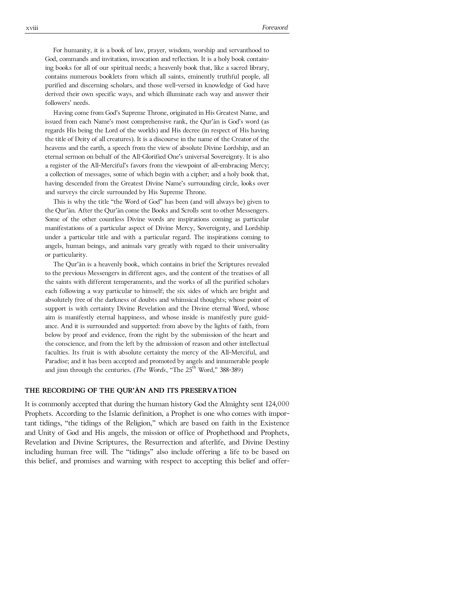For humanity, it is a book of law, prayer, wisdom, worship and servanthood to God, commands and invitation, invocation and reflection. It is a holy book containing books for all of our spiritual needs; a heavenly book that, like a sacred library, contains numerous booklets from which all saints, eminently truthful people, all purified and discerning scholars, and those well-versed in knowledge of God have derived their own specific ways, and which illuminate each way and answer their followers' needs.

Having come from God's Supreme Throne, originated in His Greatest Name, and issued from each Name's most comprehensive rank, the Qur'ān is God's word (as regards His being the Lord of the worlds) and His decree (in respect of His having the title of Deity of all creatures). It is a discourse in the name of the Creator of the heavens and the earth, a speech from the view of absolute Divine Lordship, and an eternal sermon on behalf of the All-Glorified One's universal Sovereignty. It is also a register of the All-Merciful's favors from the viewpoint of all-embracing Mercy; a collection of messages, some of which begin with a cipher; and a holy book that, having descended from the Greatest Divine Name's surrounding circle, looks over and surveys the circle surrounded by His Supreme Throne.

This is why the title "the Word of God" has been (and will always be) given to the Qur'ān. After the Qur'ān come the Books and Scrolls sent to other Messengers. Some of the other countless Divine words are inspirations coming as particular manifestations of a particular aspect of Divine Mercy, Sovereignty, and Lordship under a particular title and with a particular regard. The inspirations coming to angels, human beings, and animals vary greatly with regard to their universality or particularity.

The Qur'ān is a heavenly book, which contains in brief the Scriptures revealed to the previous Messengers in different ages, and the content of the treatises of all the saints with different temperaments, and the works of all the purified scholars each following a way particular to himself; the six sides of which are bright and absolutely free of the darkness of doubts and whimsical thoughts; whose point of support is with certainty Divine Revelation and the Divine eternal Word, whose aim is manifestly eternal happiness, and whose inside is manifestly pure guidance. And it is surrounded and supported: from above by the lights of faith, from below by proof and evidence, from the right by the submission of the heart and the conscience, and from the left by the admission of reason and other intellectual faculties. Its fruit is with absolute certainty the mercy of the All-Merciful, and Paradise; and it has been accepted and promoted by angels and innumerable people and jinn through the centuries. (*The Words*, "The 25<sup>th</sup> Word," 388-389)

#### **THE RECORDING OF THE QUR'ĀN AND ITS PRESERVATION**

It is commonly accepted that during the human history God the Almighty sent 124,000 Prophets. According to the Islamic definition, a Prophet is one who comes with important tidings, "the tidings of the Religion," which are based on faith in the Existence and Unity of God and His angels, the mission or office of Prophethood and Prophets, Revelation and Divine Scriptures, the Resurrection and afterlife, and Divine Destiny including human free will. The "tidings" also include offering a life to be based on this belief, and promises and warning with respect to accepting this belief and offer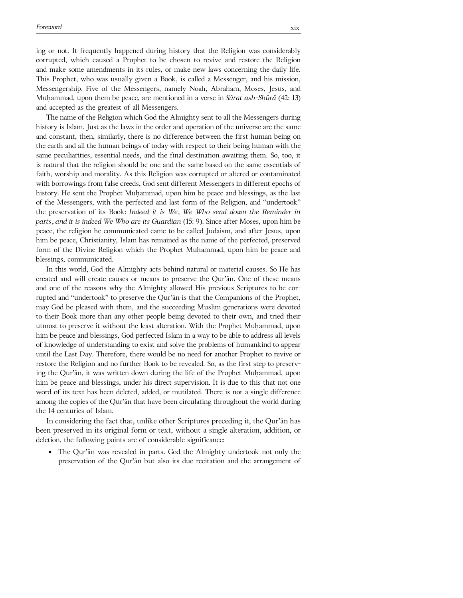ing or not. It frequently happened during history that the Religion was considerably corrupted, which caused a Prophet to be chosen to revive and restore the Religion and make some amendments in its rules, or make new laws concerning the daily life. This Prophet, who was usually given a Book, is called a Messenger, and his mission, Messengership. Five of the Messengers, namely Noah, Abraham, Moses, Jesus, and Muḥammad, upon them be peace, are mentioned in a verse in *Sūrat ash-Shūrā* (42: 13) and accepted as the greatest of all Messengers.

The name of the Religion which God the Almighty sent to all the Messengers during history is Islam. Just as the laws in the order and operation of the universe are the same and constant, then, similarly, there is no difference between the first human being on the earth and all the human beings of today with respect to their being human with the same peculiarities, essential needs, and the final destination awaiting them. So, too, it is natural that the religion should be one and the same based on the same essentials of faith, worship and morality. As this Religion was corrupted or altered or contaminated with borrowings from false creeds, God sent different Messengers in different epochs of history. He sent the Prophet Muḥammad, upon him be peace and blessings, as the last of the Messengers, with the perfected and last form of the Religion, and "undertook" the preservation of its Book: *Indeed it is We, We Who send down the Reminder in parts, and it is indeed We Who are its Guardian* (15: 9). Since after Moses, upon him be peace, the religion he communicated came to be called Judaism, and after Jesus, upon him be peace, Christianity, Islam has remained as the name of the perfected, preserved form of the Divine Religion which the Prophet Muḥammad, upon him be peace and blessings, communicated.

In this world, God the Almighty acts behind natural or material causes. So He has created and will create causes or means to preserve the Qur'ān. One of these means and one of the reasons why the Almighty allowed His previous Scriptures to be corrupted and "undertook" to preserve the Qur'ān is that the Companions of the Prophet, may God be pleased with them, and the succeeding Muslim generations were devoted to their Book more than any other people being devoted to their own, and tried their utmost to preserve it without the least alteration. With the Prophet Muḥammad, upon him be peace and blessings, God perfected Islam in a way to be able to address all levels of knowledge of understanding to exist and solve the problems of humankind to appear until the Last Day. Therefore, there would be no need for another Prophet to revive or restore the Religion and no further Book to be revealed. So, as the first step to preserving the Qur'ān, it was written down during the life of the Prophet Muḥammad, upon him be peace and blessings, under his direct supervision. It is due to this that not one word of its text has been deleted, added, or mutilated. There is not a single difference among the copies of the Qur'ān that have been circulating throughout the world during the 14 centuries of Islam.

In considering the fact that, unlike other Scriptures preceding it, the Qur'ān has been preserved in its original form or text, without a single alteration, addition, or deletion, the following points are of considerable significance:

• The Qur'ān was revealed in parts. God the Almighty undertook not only the preservation of the Qur'ān but also its due recitation and the arrangement of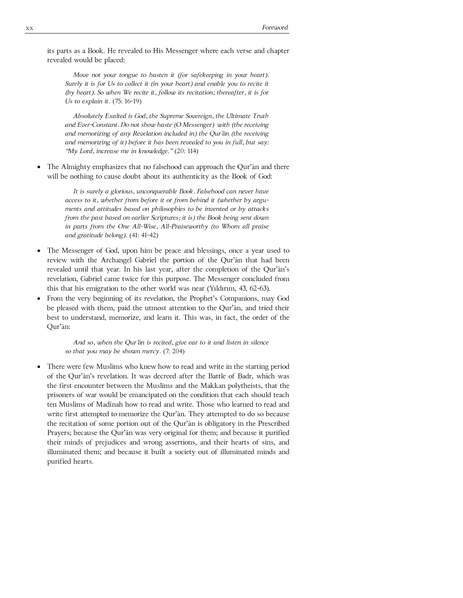its parts as a Book. He revealed to His Messenger where each verse and chapter revealed would be placed:

*Move not your tongue to hasten it (for safekeeping in your heart). Surely it is for Us to collect it (in your heart) and enable you to recite it (by heart). So when We recite it, follow its recitation; thereafter, it is for Us to explain it.* (75: 16-19)

*Absolutely Exalted is God, the Supreme Sovereign, the Ultimate Truth and Ever-Constant. Do not show haste (O Messenger) with (the receiving and memorizing of any Revelation included in) the Qur'ān (the receiving and memorizing of it) before it has been revealed to you in full, but say: "My Lord, increase me in knowledge."* (20: 114)

• The Almighty emphasizes that no falsehood can approach the Qur'ān and there will be nothing to cause doubt about its authenticity as the Book of God:

*It is surely a glorious, unconquerable Book. Falsehood can never have access to it, whether from before it or from behind it (whether by arguments and attitudes based on philosophies to be invented or by attacks from the past based on earlier Scriptures; it is) the Book being sent down in parts from the One All-Wise, All-Praiseworthy (to Whom all praise and gratitude belong).* (41: 41-42)

- The Messenger of God, upon him be peace and blessings, once a year used to review with the Archangel Gabriel the portion of the Qur'ān that had been revealed until that year. In his last year, after the completion of the Qur'ān's revelation, Gabriel came twice for this purpose. The Messenger concluded from this that his emigration to the other world was near (Yıldırım, 43, 62-63).
- From the very beginning of its revelation, the Prophet's Companions, may God be pleased with them, paid the utmost attention to the Qur'ān, and tried their best to understand, memorize, and learn it. This was, in fact, the order of the Qur'ān:

*And so, when the Qur'ān is recited, give ear to it and listen in silence so that you may be shown mercy.* (7: 204)

• There were few Muslims who knew how to read and write in the starting period of the Qur'ān's revelation. It was decreed after the Battle of Badr, which was the first encounter between the Muslims and the Makkan polytheists, that the prisoners of war would be emancipated on the condition that each should teach ten Muslims of Madīnah how to read and write. Those who learned to read and write first attempted to memorize the Qur'ān. They attempted to do so because the recitation of some portion out of the Qur'ān is obligatory in the Prescribed Prayers; because the Qur'ān was very original for them; and because it purified their minds of prejudices and wrong assertions, and their hearts of sins, and illuminated them; and because it built a society out of illuminated minds and purified hearts.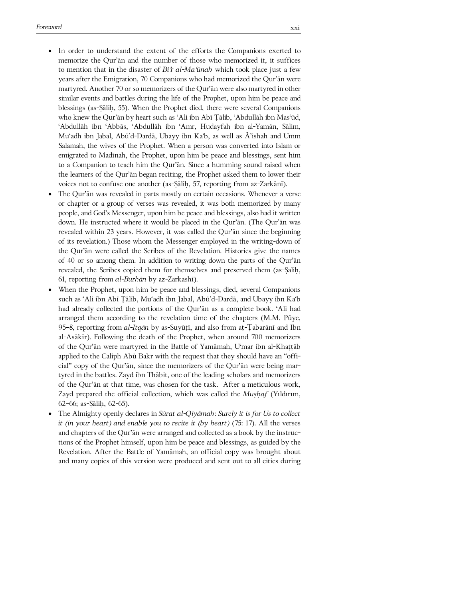- In order to understand the extent of the efforts the Companions exerted to memorize the Qur'ān and the number of those who memorized it, it suffices to mention that in the disaster of *Bi'r al-Ma'ūnah* which took place just a few years after the Emigration, 70 Companions who had memorized the Qur'ān were martyred. Another 70 or so memorizers of the Qur'ān were also martyred in other similar events and battles during the life of the Prophet, upon him be peace and blessings (as-Sāliḥ, 55). When the Prophet died, there were several Companions who knew the Qur'ān by heart such as 'Ali ibn Abī Ṭālib, 'Abdullāh ibn Mas'ūd, 'Abdullāh ibn 'Abbās, 'Abdullāh ibn 'Amr, Hudayfah ibn al-Yamān, Sālim, Mu'adh ibn Jabal, Abū'd-Dardā, Ubayy ibn Ka'b, as well as Á'ishah and Umm Salamah, the wives of the Prophet. When a person was converted into Islam or emigrated to Madīnah, the Prophet, upon him be peace and blessings, sent him to a Companion to teach him the Qur'ān. Since a humming sound raised when the learners of the Qur'ān began reciting, the Prophet asked them to lower their voices not to confuse one another (as-Sālih, 57, reporting from az-Zarkānī).
- The Qur'an was revealed in parts mostly on certain occasions. Whenever a verse or chapter or a group of verses was revealed, it was both memorized by many people, and God's Messenger, upon him be peace and blessings, also had it written down. He instructed where it would be placed in the Qur'ān. (The Qur'ān was revealed within 23 years. However, it was called the Qur'ān since the beginning of its revelation.) Those whom the Messenger employed in the writing-down of the Qur'ān were called the Scribes of the Revelation. Histories give the names of 40 or so among them. In addition to writing down the parts of the Qur'ān revealed, the Scribes copied them for themselves and preserved them (as-Salih, 61, reporting from *al-Burhān* by az-Zarkashī).
- When the Prophet, upon him be peace and blessings, died, several Companions such as 'Ali ibn Abī Ṭālib, Mu'adh ibn Jabal, Abū'd-Dardā, and Ubayy ibn Ka'b had already collected the portions of the Qur'ān as a complete book. 'Ali had arranged them according to the revelation time of the chapters (M.M. Pūye, 95–8, reporting from *al-Itqān* by as-Suyūṭī, and also from aṭ-Ṭabarānī and Ibn al-Asākīr). Following the death of the Prophet, when around 700 memorizers of the Qur'ān were martyred in the Battle of Yamāmah, U'mar ibn al-Khaṭṭāb applied to the Caliph Abū Bakr with the request that they should have an "official" copy of the Qur'ān, since the memorizers of the Qur'ān were being martyred in the battles. Zayd ibn Thābit, one of the leading scholars and memorizers of the Qur'ān at that time, was chosen for the task. After a meticulous work, Zayd prepared the official collection, which was called the *Muṣḥaf* (Yıldırım, 62–66; as-Ԍāliḥ, 62-65).
- The Almighty openly declares in *Sūrat al-Qiyāmah*: *Surely it is for Us to collect it (in your heart) and enable you to recite it (by heart)* (75: 17). All the verses and chapters of the Qur'ān were arranged and collected as a book by the instructions of the Prophet himself, upon him be peace and blessings, as guided by the Revelation. After the Battle of Yamāmah, an official copy was brought about and many copies of this version were produced and sent out to all cities during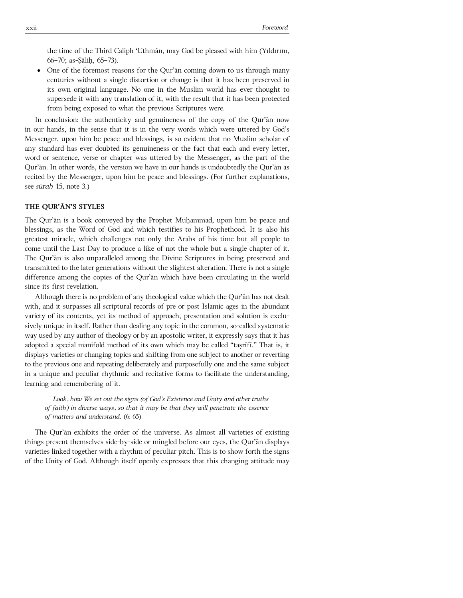the time of the Third Caliph 'Uthmān, may God be pleased with him (Yıldırım, 66–70; as-Ԍāliḥ, 65–73).

• One of the foremost reasons for the Qur'ān coming down to us through many centuries without a single distortion or change is that it has been preserved in its own original language. No one in the Muslim world has ever thought to supersede it with any translation of it, with the result that it has been protected from being exposed to what the previous Scriptures were.

In conclusion: the authenticity and genuineness of the copy of the Qur'ān now in our hands, in the sense that it is in the very words which were uttered by God's Messenger, upon him be peace and blessings, is so evident that no Muslim scholar of any standard has ever doubted its genuineness or the fact that each and every letter, word or sentence, verse or chapter was uttered by the Messenger, as the part of the Qur'ān. In other words, the version we have in our hands is undoubtedly the Qur'ān as recited by the Messenger, upon him be peace and blessings. (For further explanations, see *sūrah* 15, note 3.)

#### **THE QUR'ĀN'S STYLES**

The Qur'ān is a book conveyed by the Prophet Muḥammad, upon him be peace and blessings, as the Word of God and which testifies to his Prophethood. It is also his greatest miracle, which challenges not only the Arabs of his time but all people to come until the Last Day to produce a like of not the whole but a single chapter of it. The Qur'ān is also unparalleled among the Divine Scriptures in being preserved and transmitted to the later generations without the slightest alteration. There is not a single difference among the copies of the Qur'ān which have been circulating in the world since its first revelation.

Although there is no problem of any theological value which the Qur'ān has not dealt with, and it surpasses all scriptural records of pre or post Islamic ages in the abundant variety of its contents, yet its method of approach, presentation and solution is exclusively unique in itself. Rather than dealing any topic in the common, so-called systematic way used by any author of theology or by an apostolic writer, it expressly says that it has adopted a special manifold method of its own which may be called "taṣrīfī." That is, it displays varieties or changing topics and shifting from one subject to another or reverting to the previous one and repeating deliberately and purposefully one and the same subject in a unique and peculiar rhythmic and recitative forms to facilitate the understanding, learning and remembering of it.

*Look, how We set out the signs (of God's Existence and Unity and other truths of faith) in diverse ways, so that it may be that they will penetrate the essence of matters and understand*. (6: 65)

The Qur'ān exhibits the order of the universe. As almost all varieties of existing things present themselves side-by-side or mingled before our eyes, the Qur'ān displays varieties linked together with a rhythm of peculiar pitch. This is to show forth the signs of the Unity of God. Although itself openly expresses that this changing attitude may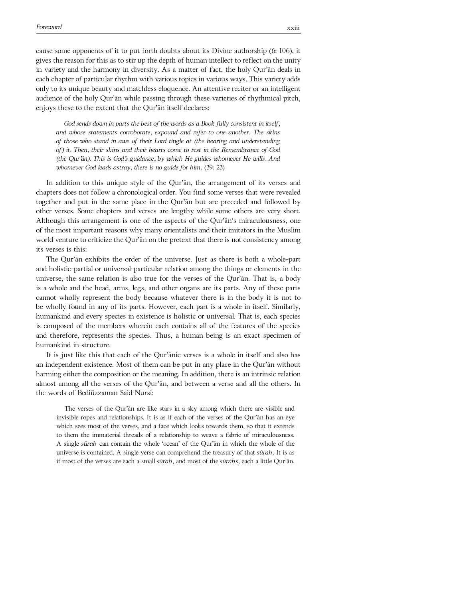cause some opponents of it to put forth doubts about its Divine authorship (6: 106), it gives the reason for this as to stir up the depth of human intellect to reflect on the unity in variety and the harmony in diversity. As a matter of fact, the holy Qur'ān deals in each chapter of particular rhythm with various topics in various ways. This variety adds only to its unique beauty and matchless eloquence. An attentive reciter or an intelligent audience of the holy Qur'ān while passing through these varieties of rhythmical pitch, enjoys these to the extent that the Qur'ān itself declares:

*God sends down in parts the best of the words as a Book fully consistent in itself, and whose statements corroborate, expound and refer to one another. The skins of those who stand in awe of their Lord tingle at (the hearing and understanding of) it. Then, their skins and their hearts come to rest in the Remembrance of God (the Qur'ān). This is God's guidance, by which He guides whomever He wills. And whomever God leads astray, there is no guide for him.* (39: 23)

In addition to this unique style of the Qur'ān, the arrangement of its verses and chapters does not follow a chronological order. You find some verses that were revealed together and put in the same place in the Qur'ān but are preceded and followed by other verses. Some chapters and verses are lengthy while some others are very short. Although this arrangement is one of the aspects of the Qur'ān's miraculousness, one of the most important reasons why many orientalists and their imitators in the Muslim world venture to criticize the Qur'ān on the pretext that there is not consistency among its verses is this:

The Qur'ān exhibits the order of the universe. Just as there is both a whole-part and holistic-partial or universal-particular relation among the things or elements in the universe, the same relation is also true for the verses of the Qur'ān. That is, a body is a whole and the head, arms, legs, and other organs are its parts. Any of these parts cannot wholly represent the body because whatever there is in the body it is not to be wholly found in any of its parts. However, each part is a whole in itself. Similarly, humankind and every species in existence is holistic or universal. That is, each species is composed of the members wherein each contains all of the features of the species and therefore, represents the species. Thus, a human being is an exact specimen of humankind in structure.

It is just like this that each of the Qur'ānic verses is a whole in itself and also has an independent existence. Most of them can be put in any place in the Qur'ān without harming either the composition or the meaning. In addition, there is an intrinsic relation almost among all the verses of the Qur'ān, and between a verse and all the others. In the words of Bediüzzaman Said Nursi:

The verses of the Qur'ān are like stars in a sky among which there are visible and invisible ropes and relationships. It is as if each of the verses of the Qur'ān has an eye which sees most of the verses, and a face which looks towards them, so that it extends to them the immaterial threads of a relationship to weave a fabric of miraculousness. A single *sūrah* can contain the whole 'ocean' of the Qur'ān in which the whole of the universe is contained. A single verse can comprehend the treasury of that *sūrah*. It is as if most of the verses are each a small *sūrah*, and most of the *sūrah*s, each a little Qur'ān.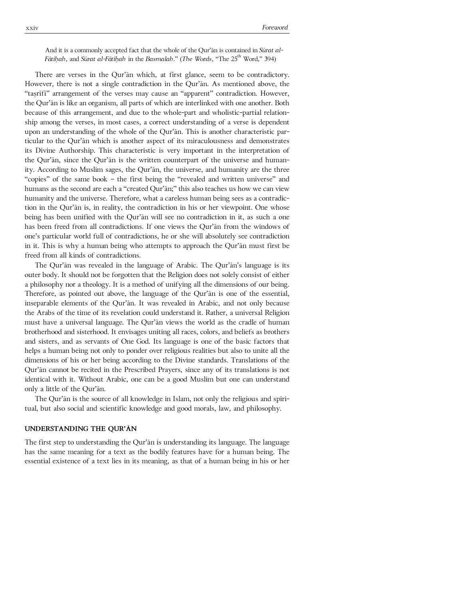And it is a commonly accepted fact that the whole of the Qur'ān is contained in *Sūrat al-Fātiḥah*, and *Sūrat al-Fātiḥah* in the *Basmalah.*" (*The Words*, "The 25<sup>th</sup> Word," 394)

There are verses in the Qur'ān which, at first glance, seem to be contradictory. However, there is not a single contradiction in the Qur'ān. As mentioned above, the "taṣrīfī" arrangement of the verses may cause an "apparent" contradiction. However, the Qur'ān is like an organism, all parts of which are interlinked with one another. Both because of this arrangement, and due to the whole-part and wholistic-partial relationship among the verses, in most cases, a correct understanding of a verse is dependent upon an understanding of the whole of the Qur'ān. This is another characteristic particular to the Qur'ān which is another aspect of its miraculousness and demonstrates its Divine Authorship. This characteristic is very important in the interpretation of the Qur'ān, since the Qur'ān is the written counterpart of the universe and humanity. According to Muslim sages, the Qur'ān, the universe, and humanity are the three "copies" of the same book – the first being the "revealed and written universe" and humans as the second are each a "created Qur'ān;" this also teaches us how we can view humanity and the universe. Therefore, what a careless human being sees as a contradiction in the Qur'ān is, in reality, the contradiction in his or her viewpoint. One whose being has been unified with the Qur'ān will see no contradiction in it, as such a one has been freed from all contradictions. If one views the Qur'ān from the windows of one's particular world full of contradictions, he or she will absolutely see contradiction in it. This is why a human being who attempts to approach the Qur'ān must first be freed from all kinds of contradictions.

The Qur'ān was revealed in the language of Arabic. The Qur'ān's language is its outer body. It should not be forgotten that the Religion does not solely consist of either a philosophy nor a theology. It is a method of unifying all the dimensions of our being. Therefore, as pointed out above, the language of the Qur'ān is one of the essential, inseparable elements of the Qur'ān. It was revealed in Arabic, and not only because the Arabs of the time of its revelation could understand it. Rather, a universal Religion must have a universal language. The Qur'ān views the world as the cradle of human brotherhood and sisterhood. It envisages uniting all races, colors, and beliefs as brothers and sisters, and as servants of One God. Its language is one of the basic factors that helps a human being not only to ponder over religious realities but also to unite all the dimensions of his or her being according to the Divine standards. Translations of the Qur'ān cannot be recited in the Prescribed Prayers, since any of its translations is not identical with it. Without Arabic, one can be a good Muslim but one can understand only a little of the Qur'ān.

The Qur'ān is the source of all knowledge in Islam, not only the religious and spiritual, but also social and scientific knowledge and good morals, law, and philosophy.

#### **UNDERSTANDING THE QUR'ĀN**

The first step to understanding the Qur'ān is understanding its language. The language has the same meaning for a text as the bodily features have for a human being. The essential existence of a text lies in its meaning, as that of a human being in his or her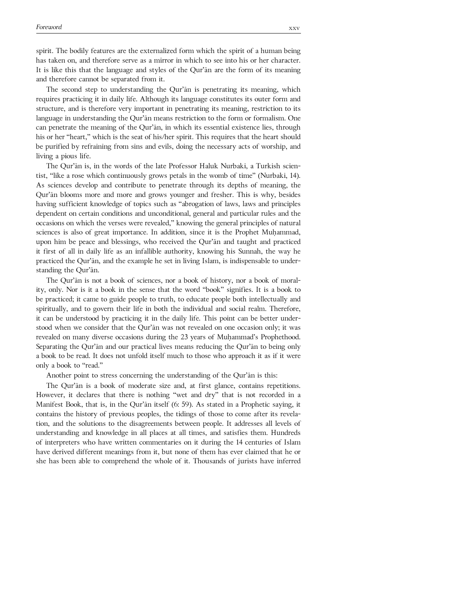The second step to understanding the Qur'ān is penetrating its meaning, which requires practicing it in daily life. Although its language constitutes its outer form and structure, and is therefore very important in penetrating its meaning, restriction to its language in understanding the Qur'ān means restriction to the form or formalism. One can penetrate the meaning of the Qur'ān, in which its essential existence lies, through his or her "heart," which is the seat of his/her spirit. This requires that the heart should be purified by refraining from sins and evils, doing the necessary acts of worship, and living a pious life.

The Qur'ān is, in the words of the late Professor Haluk Nurbaki, a Turkish scientist, "like a rose which continuously grows petals in the womb of time" (Nurbaki, 14). As sciences develop and contribute to penetrate through its depths of meaning, the Qur'ān blooms more and more and grows younger and fresher. This is why, besides having sufficient knowledge of topics such as "abrogation of laws, laws and principles dependent on certain conditions and unconditional, general and particular rules and the occasions on which the verses were revealed," knowing the general principles of natural sciences is also of great importance. In addition, since it is the Prophet Muḥammad, upon him be peace and blessings, who received the Qur'ān and taught and practiced it first of all in daily life as an infallible authority, knowing his Sunnah, the way he practiced the Qur'ān, and the example he set in living Islam, is indispensable to understanding the Qur'ān.

The Qur'ān is not a book of sciences, nor a book of history, nor a book of morality, only. Nor is it a book in the sense that the word "book" signifies. It is a book to be practiced; it came to guide people to truth, to educate people both intellectually and spiritually, and to govern their life in both the individual and social realm. Therefore, it can be understood by practicing it in the daily life. This point can be better understood when we consider that the Qur'ān was not revealed on one occasion only; it was revealed on many diverse occasions during the 23 years of Muhammad's Prophethood. Separating the Qur'ān and our practical lives means reducing the Qur'ān to being only a book to be read. It does not unfold itself much to those who approach it as if it were only a book to "read."

Another point to stress concerning the understanding of the Qur'ān is this:

The Qur'ān is a book of moderate size and, at first glance, contains repetitions. However, it declares that there is nothing "wet and dry" that is not recorded in a Manifest Book, that is, in the Qur'ān itself (6: 59). As stated in a Prophetic saying, it contains the history of previous peoples, the tidings of those to come after its revelation, and the solutions to the disagreements between people. It addresses all levels of understanding and knowledge in all places at all times, and satisfies them. Hundreds of interpreters who have written commentaries on it during the 14 centuries of Islam have derived different meanings from it, but none of them has ever claimed that he or she has been able to comprehend the whole of it. Thousands of jurists have inferred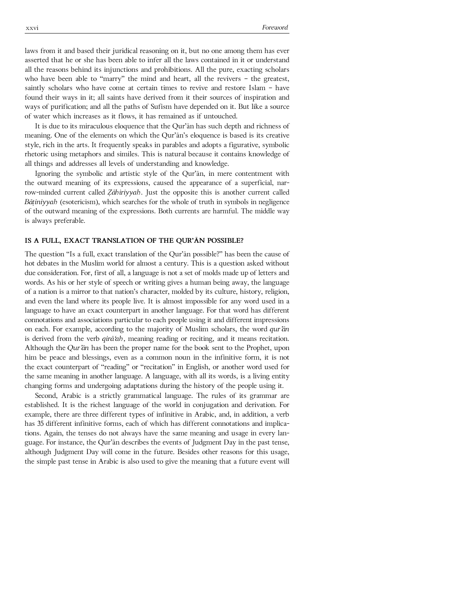laws from it and based their juridical reasoning on it, but no one among them has ever asserted that he or she has been able to infer all the laws contained in it or understand all the reasons behind its injunctions and prohibitions. All the pure, exacting scholars who have been able to "marry" the mind and heart, all the revivers – the greatest, saintly scholars who have come at certain times to revive and restore Islam – have found their ways in it; all saints have derived from it their sources of inspiration and ways of purification; and all the paths of Sufism have depended on it. But like a source of water which increases as it flows, it has remained as if untouched.

It is due to its miraculous eloquence that the Qur'ān has such depth and richness of meaning. One of the elements on which the Qur'ān's eloquence is based is its creative style, rich in the arts. It frequently speaks in parables and adopts a figurative, symbolic rhetoric using metaphors and similes. This is natural because it contains knowledge of all things and addresses all levels of understanding and knowledge.

Ignoring the symbolic and artistic style of the Qur'ān, in mere contentment with the outward meaning of its expressions, caused the appearance of a superficial, narrow-minded current called *Ẓāhiriyyah*. Just the opposite this is another current called *Bāṭiniyyah* (esotericism), which searches for the whole of truth in symbols in negligence of the outward meaning of the expressions. Both currents are harmful. The middle way is always preferable.

#### **IS A FULL, EXACT TRANSLATION OF THE QUR'ĀN POSSIBLE?**

The question "Is a full, exact translation of the Qur'ān possible?" has been the cause of hot debates in the Muslim world for almost a century. This is a question asked without due consideration. For, first of all, a language is not a set of molds made up of letters and words. As his or her style of speech or writing gives a human being away, the language of a nation is a mirror to that nation's character, molded by its culture, history, religion, and even the land where its people live. It is almost impossible for any word used in a language to have an exact counterpart in another language. For that word has different connotations and associations particular to each people using it and different impressions on each. For example, according to the majority of Muslim scholars, the word *qur'ān* is derived from the verb *qirā'ah,* meaning reading or reciting, and it means recitation. Although the *Qur'ān* has been the proper name for the book sent to the Prophet, upon him be peace and blessings, even as a common noun in the infinitive form, it is not the exact counterpart of "reading" or "recitation" in English, or another word used for the same meaning in another language. A language, with all its words, is a living entity changing forms and undergoing adaptations during the history of the people using it.

Second, Arabic is a strictly grammatical language. The rules of its grammar are established. It is the richest language of the world in conjugation and derivation. For example, there are three different types of infinitive in Arabic, and, in addition, a verb has 35 different infinitive forms, each of which has different connotations and implications. Again, the tenses do not always have the same meaning and usage in every language. For instance, the Qur'ān describes the events of Judgment Day in the past tense, although Judgment Day will come in the future. Besides other reasons for this usage, the simple past tense in Arabic is also used to give the meaning that a future event will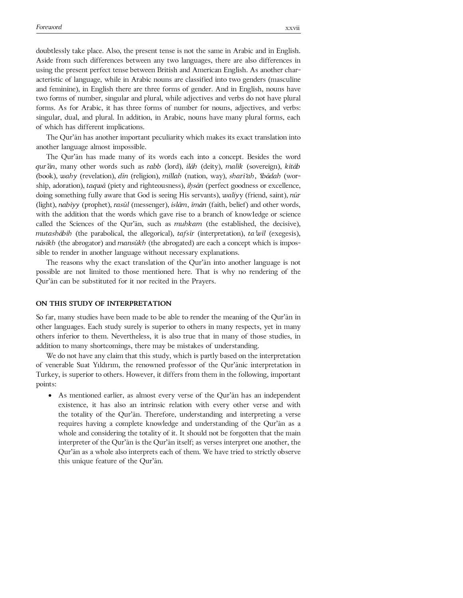doubtlessly take place. Also, the present tense is not the same in Arabic and in English. Aside from such differences between any two languages, there are also differences in using the present perfect tense between British and American English. As another characteristic of language, while in Arabic nouns are classified into two genders (masculine and feminine), in English there are three forms of gender. And in English, nouns have two forms of number, singular and plural, while adjectives and verbs do not have plural forms. As for Arabic, it has three forms of number for nouns, adjectives, and verbs: singular, dual, and plural. In addition, in Arabic, nouns have many plural forms, each of which has different implications.

The Qur'ān has another important peculiarity which makes its exact translation into another language almost impossible.

The Qur'ān has made many of its words each into a concept. Besides the word *qur'ān*, many other words such as *rabb* (lord), *ilāh* (deity), *malik* (sovereign), *kitāb* (book), *wahy* (revelation), *dīn* (religion), *millah* (nation, way), *sharī'ah*, *'ibādah* (worship, adoration), *taqwā* (piety and righteousness), *iḥsān* (perfect goodness or excellence, doing something fully aware that God is seeing His servants), *waliy*y (friend, saint), *nūr* (light), *nabiyy* (prophet), *rasūl* (messenger), *islām*, *īmān* (faith, belief) and other words, with the addition that the words which gave rise to a branch of know1edge or science called the Sciences of the Qur'ān, such as *muhkam* (the established, the decisive), *mutashābih* (the parabolical, the allegorical), *tafsīr* (interpretation), *ta'wīl* (exegesis), *nāsikh* (the abrogator) and *mansūkh* (the abrogated) are each a concept which is impossible to render in another language without necessary explanations.

The reasons why the exact translation of the Qur'ān into another language is not possible are not limited to those mentioned here. That is why no rendering of the Qur'ān can be substituted for it nor recited in the Prayers.

#### **ON THIS STUDY OF INTERPRETATION**

So far, many studies have been made to be able to render the meaning of the Qur'ān in other languages. Each study surely is superior to others in many respects, yet in many others inferior to them. Nevertheless, it is also true that in many of those studies, in addition to many shortcomings, there may be mistakes of understanding.

We do not have any claim that this study, which is partly based on the interpretation of venerable Suat Yıldırım, the renowned professor of the Qur'ānic interpretation in Turkey, is superior to others. However, it differs from them in the following, important points:

• As mentioned earlier, as almost every verse of the Qur'ān has an independent existence, it has also an intrinsic relation with every other verse and with the totality of the Qur'ān. Therefore, understanding and interpreting a verse requires having a complete knowledge and understanding of the Qur'ān as a whole and considering the totality of it. It should not be forgotten that the main interpreter of the Qur'ān is the Qur'ān itself; as verses interpret one another, the Qur'ān as a whole also interprets each of them. We have tried to strictly observe this unique feature of the Qur'ān.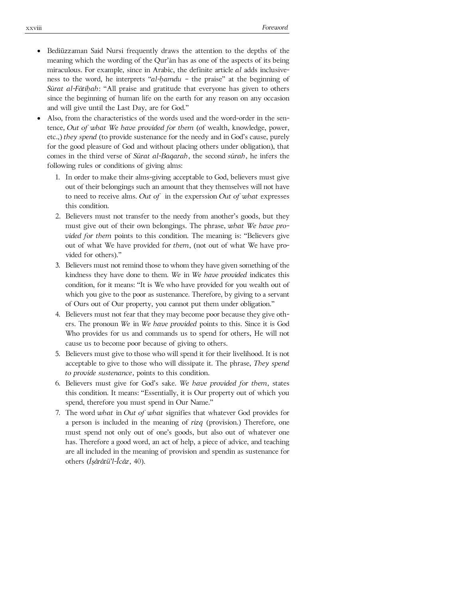- Bediüzzaman Said Nursi frequently draws the attention to the depths of the meaning which the wording of the Qur'ān has as one of the aspects of its being miraculous. For example, since in Arabic, the definite article *al* adds inclusiveness to the word, he interprets "*al-ḥamdu* – the praise" at the beginning of *Sūrat al-Fātiḥah*: "All praise and gratitude that everyone has given to others since the beginning of human life on the earth for any reason on any occasion and will give until the Last Day, are for God."
- Also, from the characteristics of the words used and the word-order in the sentence*, Out of what We have provided for them* (of wealth, knowledge, power, etc.,) *they spend* (to provide sustenance for the needy and in God's cause, purely for the good pleasure of God and without placing others under obligation), that comes in the third verse of *Sūrat al-Baqarah*, the second *sūrah*, he infers the following rules or conditions of giving alms:
	- 1. In order to make their alms-giving acceptable to God, believers must give out of their belongings such an amount that they themselves will not have to need to receive alms. *Out of* in the experssion *Out of what* expresses this condition.
	- 2. Believers must not transfer to the needy from another's goods, but they must give out of their own belongings. The phrase, *what We have provided for them* points to this condition. The meaning is: "Believers give out of what We have provided for *them*, (not out of what We have provided for others)."
	- 3. Believers must not remind those to whom they have given something of the kindness they have done to them. *We* in *We have provided* indicates this condition, for it means: "It is We who have provided for you wealth out of which you give to the poor as sustenance. Therefore, by giving to a servant of Ours out of Our property, you cannot put them under obligation."
	- 4. Believers must not fear that they may become poor because they give others. The pronoun *We* in *We have provided* points to this. Since it is God Who provides for us and commands us to spend for others, He will not cause us to become poor because of giving to others.
	- 5. Believers must give to those who will spend it for their livelihood. It is not acceptable to give to those who will dissipate it. The phrase, *They spend to provide sustenance,* points to this condition.
	- 6. Believers must give for God's sake. *We have provided for them,* states this condition. It means: "Essentially, it is Our property out of which you spend, therefore you must spend in Our Name."
	- 7. The word *what* in *Out of what* signifies that whatever God provides for a person is included in the meaning of *rizq* (provision.) Therefore, one must spend not only out of one's goods, but also out of whatever one has. Therefore a good word, an act of help, a piece of advice, and teaching are all included in the meaning of provision and spendin as sustenance for others (*İşârâtü*'*l-Îcâz*, 40).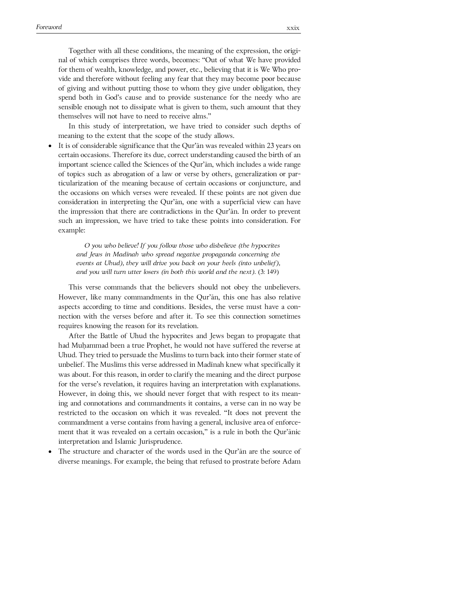Together with all these conditions, the meaning of the expression, the original of which comprises three words, becomes: "Out of what We have provided for them of wealth, knowledge, and power, etc., believing that it is We Who provide and therefore without feeling any fear that they may become poor because of giving and without putting those to whom they give under obligation, they spend both in God's cause and to provide sustenance for the needy who are sensible enough not to dissipate what is given to them, such amount that they themselves will not have to need to receive alms."

In this study of interpretation, we have tried to consider such depths of meaning to the extent that the scope of the study allows.

It is of considerable significance that the Qur'an was revealed within 23 years on certain occasions. Therefore its due, correct understanding caused the birth of an important science called the Sciences of the Qur'ān, which includes a wide range of topics such as abrogation of a law or verse by others, generalization or particularization of the meaning because of certain occasions or conjuncture, and the occasions on which verses were revealed. If these points are not given due consideration in interpreting the Qur'ān, one with a superficial view can have the impression that there are contradictions in the Qur'ān. In order to prevent such an impression, we have tried to take these points into consideration. For example:

> *O you who believe! If you follow those who disbelieve (the hypocrites and Jews in Madīnah who spread negative propaganda concerning the events at Uhud), they will drive you back on your heels (into unbelief), and you will turn utter losers (in both this world and the next)*. (3: 149)

This verse commands that the believers should not obey the unbelievers. However, like many commandments in the Qur'ān, this one has also relative aspects according to time and conditions. Besides, the verse must have a connection with the verses before and after it. To see this connection sometimes requires knowing the reason for its revelation.

After the Battle of Uhud the hypocrites and Jews began to propagate that had Muhammad been a true Prophet, he would not have suffered the reverse at Uhud. They tried to persuade the Muslims to turn back into their former state of unbelief. The Muslims this verse addressed in Madīnah knew what specifically it was about. For this reason, in order to clarify the meaning and the direct purpose for the verse's revelation, it requires having an interpretation with explanations. However, in doing this, we should never forget that with respect to its meaning and connotations and commandments it contains, a verse can in no way be restricted to the occasion on which it was revealed. "It does not prevent the commandment a verse contains from having a general, inclusive area of enforcement that it was revealed on a certain occasion," is a rule in both the Qur'ānic interpretation and Islamic Jurisprudence.

The structure and character of the words used in the Qur'an are the source of diverse meanings. For example, the being that refused to prostrate before Adam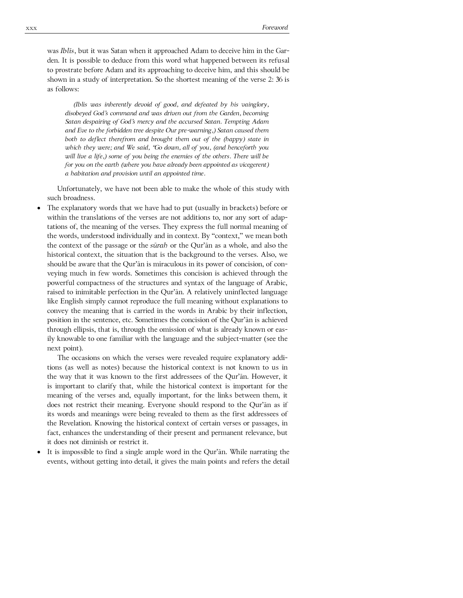was *Iblīs*, but it was Satan when it approached Adam to deceive him in the Garden. It is possible to deduce from this word what happened between its refusal to prostrate before Adam and its approaching to deceive him, and this should be shown in a study of interpretation. So the shortest meaning of the verse 2: 36 is as follows:

*(Iblis was inherently devoid of good, and defeated by his vainglory, disobeyed God's command and was driven out from the Garden, becoming Satan despairing of God's mercy and the accursed Satan. Tempting Adam and Eve to the forbidden tree despite Our pre-warning,) Satan caused them both to deflect therefrom and brought them out of the (happy) state in which they were; and We said, "Go down, all of you, (and henceforth you will live a life,) some of you being the enemies of the others. There will be for you on the earth (where you have already been appointed as vicegerent) a habitation and provision until an appointed time.*

Unfortunately, we have not been able to make the whole of this study with such broadness.

The explanatory words that we have had to put (usually in brackets) before or within the translations of the verses are not additions to, nor any sort of adaptations of, the meaning of the verses. They express the full normal meaning of the words, understood individually and in context. By "context," we mean both the context of the passage or the *sūrah* or the Qur'ān as a whole, and also the historical context, the situation that is the background to the verses. Also, we should be aware that the Qur'ān is miraculous in its power of concision, of conveying much in few words. Sometimes this concision is achieved through the powerful compactness of the structures and syntax of the language of Arabic, raised to inimitable perfection in the Qur'ān. A relatively uninflected language like English simply cannot reproduce the full meaning without explanations to convey the meaning that is carried in the words in Arabic by their inflection, position in the sentence, etc. Sometimes the concision of the Qur'ān is achieved through ellipsis, that is, through the omission of what is already known or easily knowable to one familiar with the language and the subject-matter (see the next point).

The occasions on which the verses were revealed require explanatory additions (as well as notes) because the historical context is not known to us in the way that it was known to the first addressees of the Qur'ān. However, it is important to clarify that, while the historical context is important for the meaning of the verses and, equally important, for the links between them, it does not restrict their meaning. Everyone should respond to the Qur'ān as if its words and meanings were being revealed to them as the first addressees of the Revelation. Knowing the historical context of certain verses or passages, in fact, enhances the understanding of their present and permanent relevance, but it does not diminish or restrict it.

It is impossible to find a single ample word in the Qur'an. While narrating the events, without getting into detail, it gives the main points and refers the detail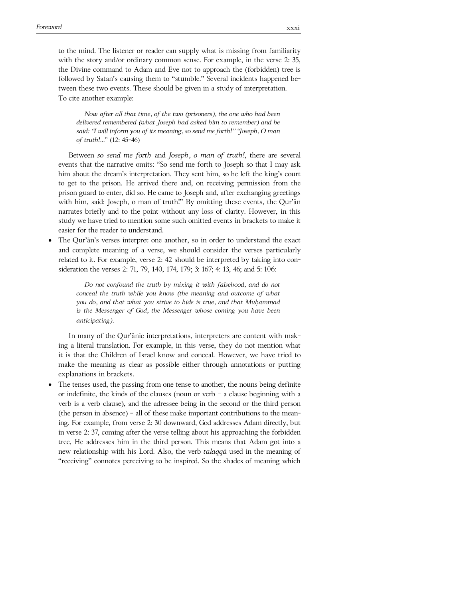to the mind. The listener or reader can supply what is missing from familiarity with the story and/or ordinary common sense. For example, in the verse 2: 35, the Divine command to Adam and Eve not to approach the (forbidden) tree is followed by Satan's causing them to "stumble." Several incidents happened between these two events. These should be given in a study of interpretation. To cite another example:

*Now after all that time, of the two (prisoners), the one who had been delivered remembered (what Joseph had asked him to remember) and he said: "I will inform you of its meaning, so send me forth!" "Joseph, O man of truth!.*.." (12: 45–46)

Between *so send me forth* and *Joseph, o man of truth!*, there are several events that the narrative omits: "So send me forth to Joseph so that I may ask him about the dream's interpretation. They sent him, so he left the king's court to get to the prison. He arrived there and, on receiving permission from the prison guard to enter, did so. He came to Joseph and, after exchanging greetings with him, said: Joseph, o man of truth!" By omitting these events, the Qur'an narrates briefly and to the point without any loss of clarity. However, in this study we have tried to mention some such omitted events in brackets to make it easier for the reader to understand.

• The Qur'ān's verses interpret one another, so in order to understand the exact and complete meaning of a verse, we should consider the verses particularly related to it. For example, verse 2: 42 should be interpreted by taking into consideration the verses 2: 71, 79, 140, 174, 179; 3: 167; 4: 13, 46; and 5: 106:

> *Do not confound the truth by mixing it with falsehood, and do not conceal the truth while you know (the meaning and outcome of what you do, and that what you strive to hide is true, and that Muḥammad is the Messenger of God, the Messenger whose coming you have been anticipating).*

In many of the Qur'ānic interpretations, interpreters are content with making a literal translation. For example, in this verse, they do not mention what it is that the Children of Israel know and conceal. However, we have tried to make the meaning as clear as possible either through annotations or putting explanations in brackets.

The tenses used, the passing from one tense to another, the nouns being definite or indefinite, the kinds of the clauses (noun or verb – a clause beginning with a verb is a verb clause), and the adressee being in the second or the third person (the person in absence) – all of these make important contributions to the meaning. For example, from verse 2: 30 downward, God addresses Adam directly, but in verse 2: 37, coming after the verse telling about his approaching the forbidden tree, He addresses him in the third person. This means that Adam got into a new relationship with his Lord. Also, the verb *talaqqā* used in the meaning of "receiving" connotes perceiving to be inspired. So the shades of meaning which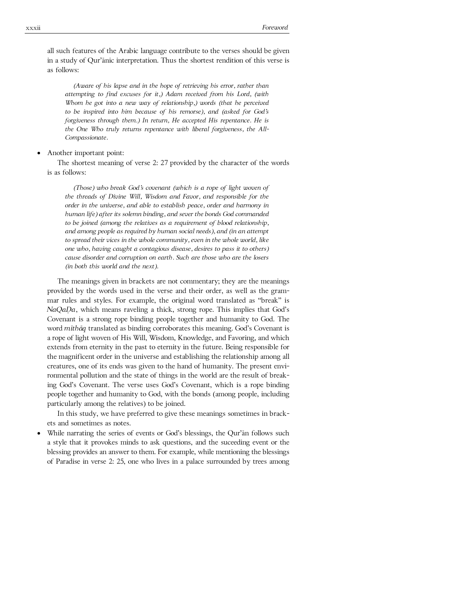all such features of the Arabic language contribute to the verses should be given in a study of Qur'ānic interpretation. Thus the shortest rendition of this verse is as follows:

*(Aware of his lapse and in the hope of retrieving his error, rather than attempting to find excuses for it,) Adam received from his Lord, (with Whom he got into a new way of relationship,) words (that he perceived to be inspired into him because of his remorse), and (asked for God's*  forgiveness through them.) In return, He accepted His repentance. He is *the One Who truly returns repentance with liberal forgiveness, the All-Compassionate.*

#### • Another important point:

The shortest meaning of verse 2: 27 provided by the character of the words is as follows:

*(Those) who break God's covenant (which is a rope of light woven of the threads of Divine Will, Wisdom and Favor, and responsible for the order in the universe, and able to establish peace, order and harmony in human life) after its solemn binding, and sever the bonds God commanded to be joined (among the relatives as a requirement of blood relationship, and among people as required by human social needs), and (in an attempt to spread their vices in the whole community, even in the whole world, like one who, having caught a contagious disease, desires to pass it to others) cause disorder and corruption on earth. Such are those who are the losers (in both this world and the next).* 

The meanings given in brackets are not commentary; they are the meanings provided by the words used in the verse and their order, as well as the grammar rules and styles. For example, the original word translated as "break" is *NaQaDa*, which means raveling a thick, strong rope. This implies that God's Covenant is a strong rope binding people together and humanity to God. The word *mīthāq* translated as binding corroborates this meaning. God's Covenant is a rope of light woven of His Will, Wisdom, Knowledge, and Favoring, and which extends from eternity in the past to eternity in the future. Being responsible for the magnificent order in the universe and establishing the relationship among all creatures, one of its ends was given to the hand of humanity. The present environmental pollution and the state of things in the world are the result of breaking God's Covenant. The verse uses God's Covenant, which is a rope binding people together and humanity to God, with the bonds (among people, including particularly among the relatives) to be joined.

In this study, we have preferred to give these meanings sometimes in brackets and sometimes as notes.

While narrating the series of events or God's blessings, the Qur'an follows such a style that it provokes minds to ask questions, and the suceeding event or the blessing provides an answer to them. For example, while mentioning the blessings of Paradise in verse 2: 25, one who lives in a palace surrounded by trees among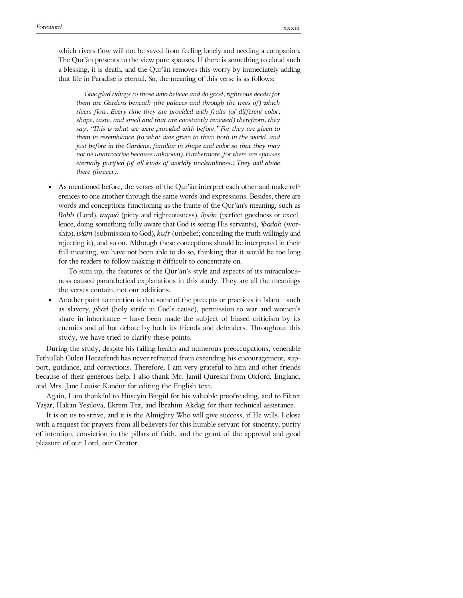which rivers flow will not be saved from feeling lonely and needing a companion. The Qur'ān presents to the view pure spouses. If there is something to cloud such a blessing, it is death, and the Qur'ān removes this worry by immediately adding that life in Paradise is eternal. So, the meaning of this verse is as follows:

*Give glad tidings to those who believe and do good, righteous deeds: for them are Gardens beneath (the palaces and through the trees of) which rivers flow. Every time they are provided with fruits (of different color, shape, taste, and smell and that are constantly renewed) therefrom, they say, "This is what we were provided with before." For they are given to them in resemblance (to what was given to them both in the world, and just before in the Gardens, familiar in shape and color so that they may not be unattractive because unknown). Furthermore, for them are spouses eternally purified (of all kinds of worldly uncleanliness.) They will abide there (forever).*

• As mentioned before, the verses of the Qur'ān interpret each other and make references to one another through the same words and expressions. Besides, there are words and conceptions functioning as the frame of the Qur'ān's meaning, such as *Rabb* (Lord), *taqwā* (piety and righteousness), *iḥsān* (perfect goodness or excellence, doing something fully aware that God is seeing His servants), *'ibādah* (worship), *islām* (submission to God), *kufr* (unbelief; concealing the truth willingly and rejecting it), and so on. Although these conceptions should be interpreted in their full meaning, we have not been able to do so, thinking that it would be too long for the readers to follow making it difficult to concentrate on.

To sum up, the features of the Qur'ān's style and aspects of its miraculousness caused paranthetical explanations in this study. They are all the meanings the verses contain, not our additions.

• Another point to mention is that some of the precepts or practices in Islam – such as slavery, *jihād* (holy strife in God's cause), permission to war and women's share in inheritance – have been made the subject of biased criticism by its enemies and of hot debate by both its friends and defenders. Throughout this study, we have tried to clarify these points.

During the study, despite his failing health and numerous preoccupations, venerable Fethullah Gülen Hocaefendi has never refrained from extending his encouragement, support, guidance, and corrections. Therefore, I am very grateful to him and other friends because of their generous help. I also thank Mr. Jamil Qureshi from Oxford, England, and Mrs. Jane Louise Kandur for editing the English text.

Again, I am thankful to Hüseyin Bingül for his valuable proofreading, and to Fikret Yaşar, Hakan Yeşilova, Ekrem Tez, and İbrahim Akdağ for their technical assistance.

It is on us to strive, and it is the Almighty Who will give success, if He wills. I close with a request for prayers from all believers for this humble servant for sincerity, purity of intention, conviction in the pillars of faith, and the grant of the approval and good pleasure of our Lord, our Creator.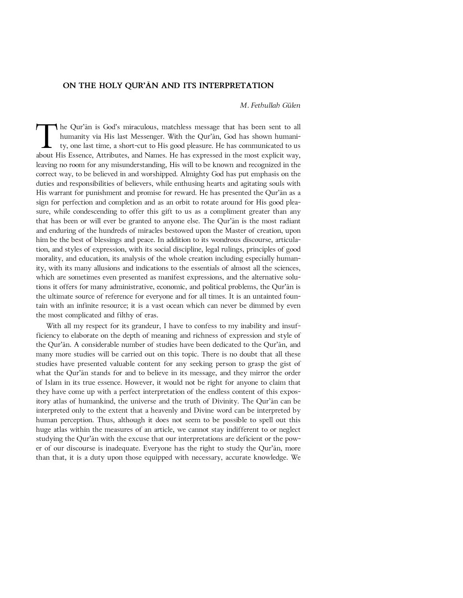#### **ON THE HOLY QUR'ĀN AND ITS INTERPRETATION**

*M. Fethullah Gülen*

The Qur'ān is God's miraculous, matchless message that has been sent to all humanity via His last Messenger. With the Qur'ān, God has shown humanity, one last time, a short-cut to His good pleasure. He has communicated to humanity via His last Messenger. With the Qur'ān, God has shown humanity, one last time, a short-cut to His good pleasure. He has communicated to us about His Essence, Attributes, and Names. He has expressed in the most explicit way, leaving no room for any misunderstanding, His will to be known and recognized in the correct way, to be believed in and worshipped. Almighty God has put emphasis on the duties and responsibilities of believers, while enthusing hearts and agitating souls with His warrant for punishment and promise for reward. He has presented the Qur'ān as a sign for perfection and completion and as an orbit to rotate around for His good pleasure, while condescending to offer this gift to us as a compliment greater than any that has been or will ever be granted to anyone else. The Qur'ān is the most radiant and enduring of the hundreds of miracles bestowed upon the Master of creation, upon him be the best of blessings and peace. In addition to its wondrous discourse, articulation, and styles of expression, with its social discipline, legal rulings, principles of good morality, and education, its analysis of the whole creation including especially humanity, with its many allusions and indications to the essentials of almost all the sciences, which are sometimes even presented as manifest expressions, and the alternative solutions it offers for many administrative, economic, and political problems, the Qur'ān is the ultimate source of reference for everyone and for all times. It is an untainted fountain with an infinite resource; it is a vast ocean which can never be dimmed by even the most complicated and filthy of eras.

With all my respect for its grandeur, I have to confess to my inability and insufficiency to elaborate on the depth of meaning and richness of expression and style of the Qur'ān. A considerable number of studies have been dedicated to the Qur'ān, and many more studies will be carried out on this topic. There is no doubt that all these studies have presented valuable content for any seeking person to grasp the gist of what the Qur'ān stands for and to believe in its message, and they mirror the order of Islam in its true essence. However, it would not be right for anyone to claim that they have come up with a perfect interpretation of the endless content of this expository atlas of humankind, the universe and the truth of Divinity. The Qur'ān can be interpreted only to the extent that a heavenly and Divine word can be interpreted by human perception. Thus, although it does not seem to be possible to spell out this huge atlas within the measures of an article, we cannot stay indifferent to or neglect studying the Qur'ān with the excuse that our interpretations are deficient or the power of our discourse is inadequate. Everyone has the right to study the Qur'ān, more than that, it is a duty upon those equipped with necessary, accurate knowledge. We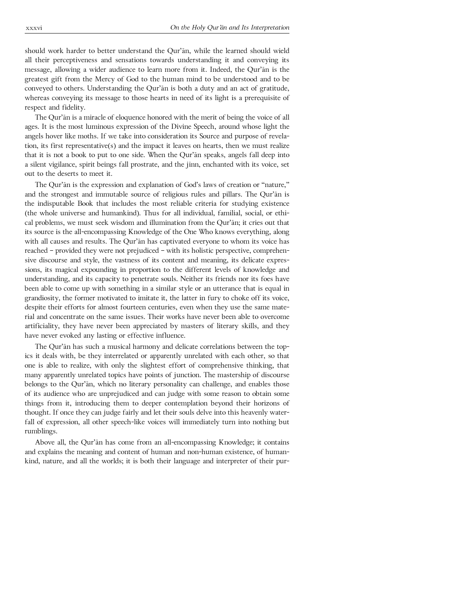should work harder to better understand the Qur'ān, while the learned should wield all their perceptiveness and sensations towards understanding it and conveying its message, allowing a wider audience to learn more from it. Indeed, the Qur'ān is the greatest gift from the Mercy of God to the human mind to be understood and to be conveyed to others. Understanding the Qur'ān is both a duty and an act of gratitude, whereas conveying its message to those hearts in need of its light is a prerequisite of respect and fidelity.

The Qur'ān is a miracle of eloquence honored with the merit of being the voice of all ages. It is the most luminous expression of the Divine Speech, around whose light the angels hover like moths. If we take into consideration its Source and purpose of revelation, its first representative(s) and the impact it leaves on hearts, then we must realize that it is not a book to put to one side. When the Qur'ān speaks, angels fall deep into a silent vigilance, spirit beings fall prostrate, and the jinn, enchanted with its voice, set out to the deserts to meet it.

The Qur'ān is the expression and explanation of God's laws of creation or "nature," and the strongest and immutable source of religious rules and pillars. The Qur'ān is the indisputable Book that includes the most reliable criteria for studying existence (the whole universe and humankind). Thus for all individual, familial, social, or ethical problems, we must seek wisdom and illumination from the Qur'ān; it cries out that its source is the all-encompassing Knowledge of the One Who knows everything, along with all causes and results. The Qur'ān has captivated everyone to whom its voice has reached – provided they were not prejudiced – with its holistic perspective, comprehensive discourse and style, the vastness of its content and meaning, its delicate expressions, its magical expounding in proportion to the different levels of knowledge and understanding, and its capacity to penetrate souls. Neither its friends nor its foes have been able to come up with something in a similar style or an utterance that is equal in grandiosity, the former motivated to imitate it, the latter in fury to choke off its voice, despite their efforts for almost fourteen centuries, even when they use the same material and concentrate on the same issues. Their works have never been able to overcome artificiality, they have never been appreciated by masters of literary skills, and they have never evoked any lasting or effective influence.

The Qur'ān has such a musical harmony and delicate correlations between the topics it deals with, be they interrelated or apparently unrelated with each other, so that one is able to realize, with only the slightest effort of comprehensive thinking, that many apparently unrelated topics have points of junction. The mastership of discourse belongs to the Qur'ān, which no literary personality can challenge, and enables those of its audience who are unprejudiced and can judge with some reason to obtain some things from it, introducing them to deeper contemplation beyond their horizons of thought. If once they can judge fairly and let their souls delve into this heavenly waterfall of expression, all other speech-like voices will immediately turn into nothing but rumblings.

Above all, the Qur'ān has come from an all-encompassing Knowledge; it contains and explains the meaning and content of human and non-human existence, of humankind, nature, and all the worlds; it is both their language and interpreter of their pur-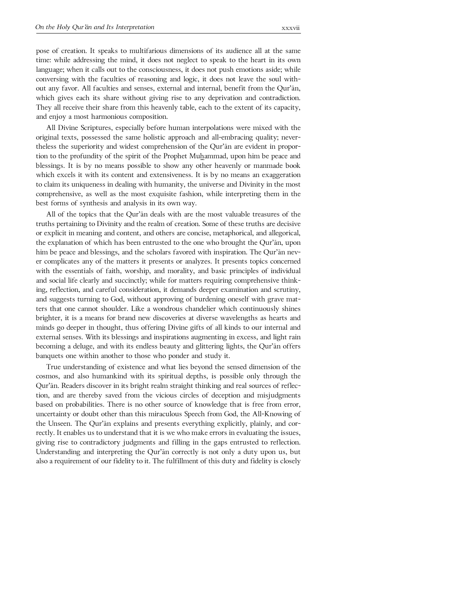pose of creation. It speaks to multifarious dimensions of its audience all at the same time: while addressing the mind, it does not neglect to speak to the heart in its own language; when it calls out to the consciousness, it does not push emotions aside; while conversing with the faculties of reasoning and logic, it does not leave the soul without any favor. All faculties and senses, external and internal, benefit from the Qur'ān, which gives each its share without giving rise to any deprivation and contradiction. They all receive their share from this heavenly table, each to the extent of its capacity, and enjoy a most harmonious composition.

All Divine Scriptures, especially before human interpolations were mixed with the original texts, possessed the same holistic approach and all-embracing quality; nevertheless the superiority and widest comprehension of the Qur'ān are evident in proportion to the profundity of the spirit of the Prophet Muḥammad, upon him be peace and blessings. It is by no means possible to show any other heavenly or manmade book which excels it with its content and extensiveness. It is by no means an exaggeration to claim its uniqueness in dealing with humanity, the universe and Divinity in the most comprehensive, as well as the most exquisite fashion, while interpreting them in the best forms of synthesis and analysis in its own way.

All of the topics that the Qur'ān deals with are the most valuable treasures of the truths pertaining to Divinity and the realm of creation. Some of these truths are decisive or explicit in meaning and content, and others are concise, metaphorical, and allegorical, the explanation of which has been entrusted to the one who brought the Qur'ān, upon him be peace and blessings, and the scholars favored with inspiration. The Qur'ān never complicates any of the matters it presents or analyzes. It presents topics concerned with the essentials of faith, worship, and morality, and basic principles of individual and social life clearly and succinctly; while for matters requiring comprehensive thinking, reflection, and careful consideration, it demands deeper examination and scrutiny, and suggests turning to God, without approving of burdening oneself with grave matters that one cannot shoulder. Like a wondrous chandelier which continuously shines brighter, it is a means for brand new discoveries at diverse wavelengths as hearts and minds go deeper in thought, thus offering Divine gifts of all kinds to our internal and external senses. With its blessings and inspirations augmenting in excess, and light rain becoming a deluge, and with its endless beauty and glittering lights, the Qur'ān offers banquets one within another to those who ponder and study it.

True understanding of existence and what lies beyond the sensed dimension of the cosmos, and also humankind with its spiritual depths, is possible only through the Qur'ān. Readers discover in its bright realm straight thinking and real sources of reflection, and are thereby saved from the vicious circles of deception and misjudgments based on probabilities. There is no other source of knowledge that is free from error, uncertainty or doubt other than this miraculous Speech from God, the All-Knowing of the Unseen. The Qur'ān explains and presents everything explicitly, plainly, and correctly. It enables us to understand that it is we who make errors in evaluating the issues, giving rise to contradictory judgments and filling in the gaps entrusted to reflection. Understanding and interpreting the Qur'ān correctly is not only a duty upon us, but also a requirement of our fidelity to it. The fulfillment of this duty and fidelity is closely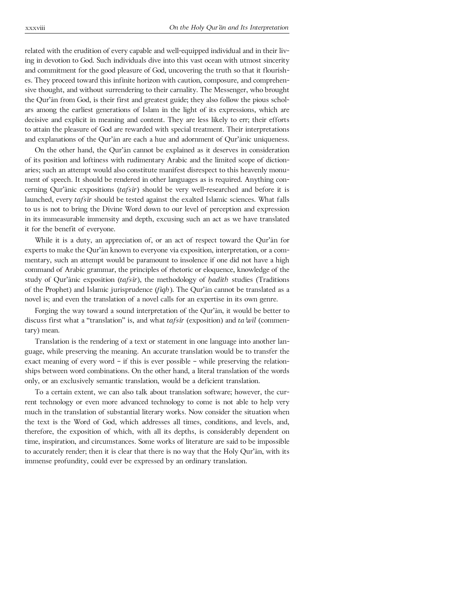related with the erudition of every capable and well-equipped individual and in their living in devotion to God. Such individuals dive into this vast ocean with utmost sincerity and commitment for the good pleasure of God, uncovering the truth so that it flourishes. They proceed toward this infinite horizon with caution, composure, and comprehensive thought, and without surrendering to their carnality. The Messenger, who brought the Qur'ān from God, is their first and greatest guide; they also follow the pious scholars among the earliest generations of Islam in the light of its expressions, which are decisive and explicit in meaning and content. They are less likely to err; their efforts to attain the pleasure of God are rewarded with special treatment. Their interpretations and explanations of the Qur'ān are each a hue and adornment of Qur'ānic uniqueness.

On the other hand, the Qur'ān cannot be explained as it deserves in consideration of its position and loftiness with rudimentary Arabic and the limited scope of dictionaries; such an attempt would also constitute manifest disrespect to this heavenly monument of speech. It should be rendered in other languages as is required. Anything concerning Qur'ānic expositions (*tafsīr*) should be very well-researched and before it is launched, every *tafsīr* should be tested against the exalted Islamic sciences. What falls to us is not to bring the Divine Word down to our level of perception and expression in its immeasurable immensity and depth, excusing such an act as we have translated it for the benefit of everyone.

While it is a duty, an appreciation of, or an act of respect toward the Qur'ān for experts to make the Qur'ān known to everyone via exposition, interpretation, or a commentary, such an attempt would be paramount to insolence if one did not have a high command of Arabic grammar, the principles of rhetoric or eloquence, knowledge of the study of Qur'ānic exposition (*tafsīr*), the methodology of *ḥadīth* studies (Traditions of the Prophet) and Islamic jurisprudence (*fiqh*). The Qur'ān cannot be translated as a novel is; and even the translation of a novel calls for an expertise in its own genre.

Forging the way toward a sound interpretation of the Qur'ān, it would be better to discuss first what a "translation" is, and what *tafsīr* (exposition) and *ta'wīl* (commentary) mean.

Translation is the rendering of a text or statement in one language into another language, while preserving the meaning. An accurate translation would be to transfer the exact meaning of every word – if this is ever possible – while preserving the relationships between word combinations. On the other hand, a literal translation of the words only, or an exclusively semantic translation, would be a deficient translation.

To a certain extent, we can also talk about translation software; however, the current technology or even more advanced technology to come is not able to help very much in the translation of substantial literary works. Now consider the situation when the text is the Word of God, which addresses all times, conditions, and levels, and, therefore, the exposition of which, with all its depths, is considerably dependent on time, inspiration, and circumstances. Some works of literature are said to be impossible to accurately render; then it is clear that there is no way that the Holy Qur'ān, with its immense profundity, could ever be expressed by an ordinary translation.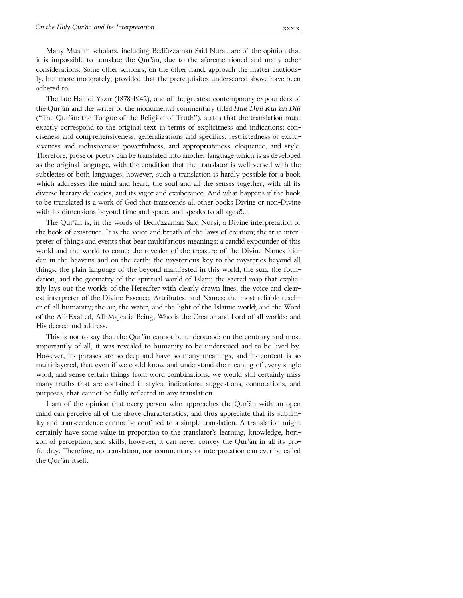Many Muslim scholars, including Bediüzzaman Said Nursi, are of the opinion that it is impossible to translate the Qur'ān, due to the aforementioned and many other considerations. Some other scholars, on the other hand, approach the matter cautiously, but more moderately, provided that the prerequisites underscored above have been adhered to.

The late Hamdi Yazır (1878-1942), one of the greatest contemporary expounders of the Qur'ān and the writer of the monumental commentary titled *Hak Dini Kur'an Dili* ("The Qur'ān: the Tongue of the Religion of Truth"), states that the translation must exactly correspond to the original text in terms of explicitness and indications; conciseness and comprehensiveness; generalizations and specifics; restrictedness or exclusiveness and inclusiveness; powerfulness, and appropriateness, eloquence, and style. Therefore, prose or poetry can be translated into another language which is as developed as the original language, with the condition that the translator is well-versed with the subtleties of both languages; however, such a translation is hardly possible for a book which addresses the mind and heart, the soul and all the senses together, with all its diverse literary delicacies, and its vigor and exuberance. And what happens if the book to be translated is a work of God that transcends all other books Divine or non-Divine with its dimensions beyond time and space, and speaks to all ages?!...

The Qur'ān is, in the words of Bediüzzaman Said Nursi, a Divine interpretation of the book of existence. It is the voice and breath of the laws of creation; the true interpreter of things and events that bear multifarious meanings; a candid expounder of this world and the world to come; the revealer of the treasure of the Divine Names hidden in the heavens and on the earth; the mysterious key to the mysteries beyond all things; the plain language of the beyond manifested in this world; the sun, the foundation, and the geometry of the spiritual world of Islam; the sacred map that explicitly lays out the worlds of the Hereafter with clearly drawn lines; the voice and clearest interpreter of the Divine Essence, Attributes, and Names; the most reliable teacher of all humanity; the air, the water, and the light of the Islamic world; and the Word of the All-Exalted, All-Majestic Being, Who is the Creator and Lord of all worlds; and His decree and address.

This is not to say that the Qur'ān cannot be understood; on the contrary and most importantly of all, it was revealed to humanity to be understood and to be lived by. However, its phrases are so deep and have so many meanings, and its content is so multi-layered, that even if we could know and understand the meaning of every single word, and sense certain things from word combinations, we would still certainly miss many truths that are contained in styles, indications, suggestions, connotations, and purposes, that cannot be fully reflected in any translation.

I am of the opinion that every person who approaches the Qur'ān with an open mind can perceive all of the above characteristics, and thus appreciate that its sublimity and transcendence cannot be confined to a simple translation. A translation might certainly have some value in proportion to the translator's learning, knowledge, horizon of perception, and skills; however, it can never convey the Qur'ān in all its profundity. Therefore, no translation, nor commentary or interpretation can ever be called the Qur'ān itself.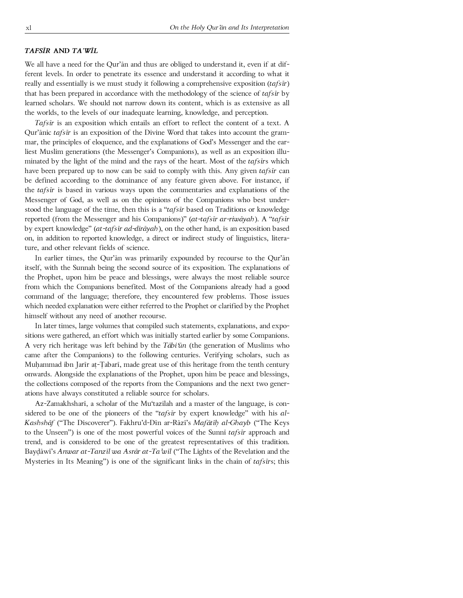#### *TAFSĪR* **AND** *TA'WĪL*

We all have a need for the Qur'ān and thus are obliged to understand it, even if at different levels. In order to penetrate its essence and understand it according to what it really and essentially is we must study it following a comprehensive exposition (*tafsīr*) that has been prepared in accordance with the methodology of the science of *tafsīr* by learned scholars. We should not narrow down its content, which is as extensive as all the worlds, to the levels of our inadequate learning, knowledge, and perception.

*Tafsīr* is an exposition which entails an effort to reflect the content of a text. A Qur'ānic *tafsīr* is an exposition of the Divine Word that takes into account the grammar, the principles of eloquence, and the explanations of God's Messenger and the earliest Muslim generations (the Messenger's Companions), as well as an exposition illuminated by the light of the mind and the rays of the heart. Most of the *tafsīr*s which have been prepared up to now can be said to comply with this. Any given *tafsīr* can be defined according to the dominance of any feature given above. For instance, if the *tafsīr* is based in various ways upon the commentaries and explanations of the Messenger of God, as well as on the opinions of the Companions who best understood the language of the time, then this is a "*tafsīr* based on Traditions or knowledge reported (from the Messenger and his Companions)" (*at-tafsīr ar*-*riwāyah*). A "*tafsīr* by expert knowledge" (*at-tafsīr ad-dirāyah*), on the other hand, is an exposition based on, in addition to reported knowledge, a direct or indirect study of linguistics, literature, and other relevant fields of science.

In earlier times, the Qur'ān was primarily expounded by recourse to the Qur'ān itself, with the Sunnah being the second source of its exposition. The explanations of the Prophet, upon him be peace and blessings, were always the most reliable source from which the Companions benefited. Most of the Companions already had a good command of the language; therefore, they encountered few problems. Those issues which needed explanation were either referred to the Prophet or clarified by the Prophet himself without any need of another recourse.

In later times, large volumes that compiled such statements, explanations, and expositions were gathered, an effort which was initially started earlier by some Companions. A very rich heritage was left behind by the *Tābi'ūn* (the generation of Muslims who came after the Companions) to the following centuries. Verifying scholars, such as Muḥammad ibn Jarīr aṭ-Ṭabarī, made great use of this heritage from the tenth century onwards. Alongside the explanations of the Prophet, upon him be peace and blessings, the collections composed of the reports from the Companions and the next two generations have always constituted a reliable source for scholars.

Az-Zamakhsharī, a scholar of the Mu'tazilah and a master of the language, is considered to be one of the pioneers of the "*tafsīr* by expert knowledge" with his *al-Kashshāf* ("The Discoverer"). Fakhru'd-Dīn ar-Rāzī's *Mafātīḥ al-Ghayb* ("The Keys to the Unseen") is one of the most powerful voices of the Sunnī *tafsīr* approach and trend, and is considered to be one of the greatest representatives of this tradition. Bayḍāwī's *Anwar at-Tanzīl wa Asrār at-Ta'wīl* ("The Lights of the Revelation and the Mysteries in Its Meaning") is one of the significant links in the chain of *tafsīr*s; this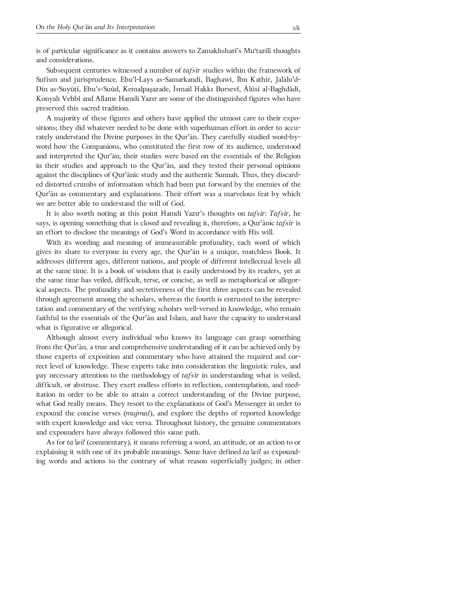is of particular significance as it contains answers to Zamakhsharī's Mu'tazilī thoughts and considerations.

Subsequent centuries witnessed a number of *tafsīr* studies within the framework of Sufism and jurisprudence. Ebu'l-Lays as-Samarkandī, Baghawī, ñbn Kathīr, Jalālu'd-Dīn as-Suyūtī, Ebu's-Suūd, Kemalpaşazade, Ismail Hakkı Bursevî, Alūsī al-Baghdādī, Konyalı Vehbî and Allame Hamdi Yazır are some of the distinguished figures who have preserved this sacred tradition.

A majority of these figures and others have applied the utmost care to their expositions; they did whatever needed to be done with superhuman effort in order to accurately understand the Divine purposes in the Qur'ān. They carefully studied word-byword how the Companions, who constituted the first row of its audience, understood and interpreted the Qur'ān; their studies were based on the essentials of the Religion in their studies and approach to the Qur'ān, and they tested their personal opinions against the disciplines of Qur'ānic study and the authentic Sunnah. Thus, they discarded distorted crumbs of information which had been put forward by the enemies of the Qur'ān as commentary and explanations. Their effort was a marvelous feat by which we are better able to understand the will of God.

It is also worth noting at this point Hamdi Yazır's thoughts on *tafsīr*: *Tafsīr*, he says, is opening something that is closed and revealing it, therefore, a Qur'ānic *tafsīr* is an effort to disclose the meanings of God's Word in accordance with His will.

With its wording and meaning of immeasurable profundity, each word of which gives its share to everyone in every age, the Qur'ān is a unique, matchless Book. It addresses different ages, different nations, and people of different intellectual levels all at the same time. It is a book of wisdom that is easily understood by its readers, yet at the same time has veiled, difficult, terse, or concise, as well as metaphorical or allegorical aspects. The profundity and secretiveness of the first three aspects can be revealed through agreement among the scholars, whereas the fourth is entrusted to the interpretation and commentary of the verifying scholars well-versed in knowledge, who remain faithful to the essentials of the Qur'ān and Islam, and have the capacity to understand what is figurative or allegorical.

Although almost every individual who knows its language can grasp something from the Qur'ān, a true and comprehensive understanding of it can be achieved only by those experts of exposition and commentary who have attained the required and correct level of knowledge. These experts take into consideration the linguistic rules, and pay necessary attention to the methodology of *tafsīr* in understanding what is veiled, difficult, or abstruse. They exert endless efforts in reflection, contemplation, and meditation in order to be able to attain a correct understanding of the Divine purpose, what God really means. They resort to the explanations of God's Messenger in order to expound the concise verses (*mujmal*), and explore the depths of reported knowledge with expert knowledge and vice versa. Throughout history, the genuine commentators and expounders have always followed this same path.

As for *ta'wīl* (commentary), it means referring a word, an attitude, or an action to or explaining it with one of its probable meanings. Some have defined *ta'wīl* as expounding words and actions to the contrary of what reason superficially judges; in other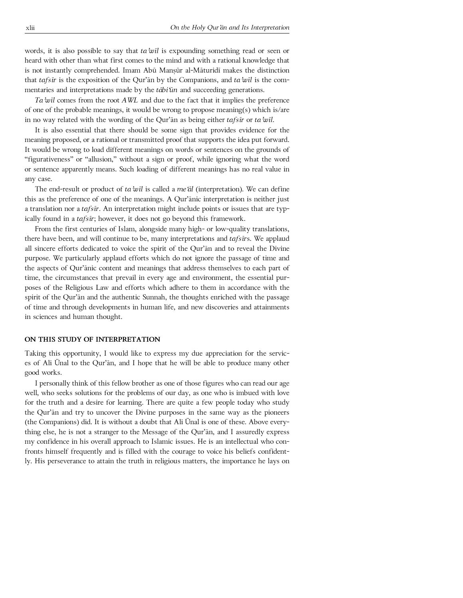words, it is also possible to say that *ta'wīl* is expounding something read or seen or heard with other than what first comes to the mind and with a rational knowledge that is not instantly comprehended. Imam Abū Manṣūr al-Māturidī makes the distinction that *tafsīr* is the exposition of the Qur'ān by the Companions, and *ta'wīl* is the commentaries and interpretations made by the *tābi'ūn* and succeeding generations.

*Ta'wīl* comes from the root *AWL* and due to the fact that it implies the preference of one of the probable meanings, it would be wrong to propose meaning(s) which is/are in no way related with the wording of the Qur'ān as being either *tafsīr* or *ta'wīl*.

It is also essential that there should be some sign that provides evidence for the meaning proposed, or a rational or transmitted proof that supports the idea put forward. It would be wrong to load different meanings on words or sentences on the grounds of "figurativeness" or "allusion," without a sign or proof, while ignoring what the word or sentence apparently means. Such loading of different meanings has no real value in any case.

The end-result or product of *ta'wīl* is called a *me'āl* (interpretation). We can define this as the preference of one of the meanings. A Qur'ānic interpretation is neither just a translation nor a *tafsīr*. An interpretation might include points or issues that are typically found in a *tafsīr*; however, it does not go beyond this framework.

From the first centuries of Islam, alongside many high- or low-quality translations, there have been, and will continue to be, many interpretations and *tafsīr*s. We applaud all sincere efforts dedicated to voice the spirit of the Qur'ān and to reveal the Divine purpose. We particularly applaud efforts which do not ignore the passage of time and the aspects of Qur'ānic content and meanings that address themselves to each part of time, the circumstances that prevail in every age and environment, the essential purposes of the Religious Law and efforts which adhere to them in accordance with the spirit of the Qur'ān and the authentic Sunnah, the thoughts enriched with the passage of time and through developments in human life, and new discoveries and attainments in sciences and human thought.

#### **ON THIS STUDY OF INTERPRETATION**

Taking this opportunity, I would like to express my due appreciation for the services of Ali Ünal to the Qur'ān, and I hope that he will be able to produce many other good works.

I personally think of this fellow brother as one of those figures who can read our age well, who seeks solutions for the problems of our day, as one who is imbued with love for the truth and a desire for learning. There are quite a few people today who study the Qur'ān and try to uncover the Divine purposes in the same way as the pioneers (the Companions) did. It is without a doubt that Ali Ünal is one of these. Above everything else, he is not a stranger to the Message of the Qur'ān, and I assuredly express my confidence in his overall approach to Islamic issues. He is an intellectual who confronts himself frequently and is filled with the courage to voice his beliefs confidently. His perseverance to attain the truth in religious matters, the importance he lays on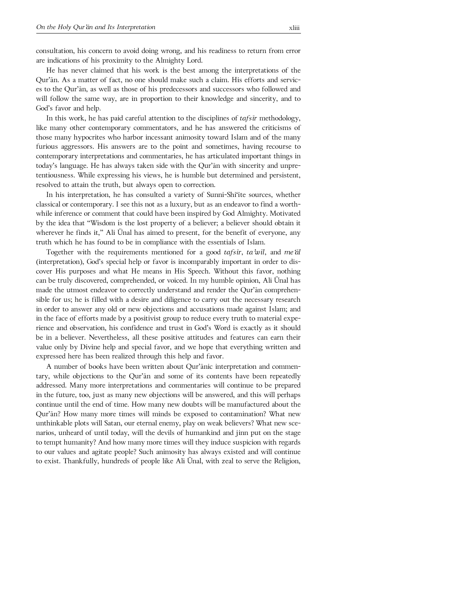consultation, his concern to avoid doing wrong, and his readiness to return from error are indications of his proximity to the Almighty Lord.

He has never claimed that his work is the best among the interpretations of the Qur'ān. As a matter of fact, no one should make such a claim. His efforts and services to the Qur'ān, as well as those of his predecessors and successors who followed and will follow the same way, are in proportion to their knowledge and sincerity, and to God's favor and help.

In this work, he has paid careful attention to the disciplines of *tafsīr* methodology, like many other contemporary commentators, and he has answered the criticisms of those many hypocrites who harbor incessant animosity toward Islam and of the many furious aggressors. His answers are to the point and sometimes, having recourse to contemporary interpretations and commentaries, he has articulated important things in today's language. He has always taken side with the Qur'ān with sincerity and unpretentiousness. While expressing his views, he is humble but determined and persistent, resolved to attain the truth, but always open to correction.

In his interpretation, he has consulted a variety of Sunni-Shi'īte sources, whether classical or contemporary. I see this not as a luxury, but as an endeavor to find a worthwhile inference or comment that could have been inspired by God Almighty. Motivated by the idea that "Wisdom is the lost property of a believer; a believer should obtain it wherever he finds it," Ali Unal has aimed to present, for the benefit of everyone, any truth which he has found to be in compliance with the essentials of Islam.

Together with the requirements mentioned for a good *tafsīr*, *ta'wīl*, and *me'āl* (interpretation), God's special help or favor is incomparably important in order to discover His purposes and what He means in His Speech. Without this favor, nothing can be truly discovered, comprehended, or voiced. In my humble opinion, Ali Ünal has made the utmost endeavor to correctly understand and render the Qur'ān comprehensible for us; he is filled with a desire and diligence to carry out the necessary research in order to answer any old or new objections and accusations made against Islam; and in the face of efforts made by a positivist group to reduce every truth to material experience and observation, his confidence and trust in God's Word is exactly as it should be in a believer. Nevertheless, all these positive attitudes and features can earn their value only by Divine help and special favor, and we hope that everything written and expressed here has been realized through this help and favor.

A number of books have been written about Qur'ānic interpretation and commentary, while objections to the Qur'ān and some of its contents have been repeatedly addressed. Many more interpretations and commentaries will continue to be prepared in the future, too, just as many new objections will be answered, and this will perhaps continue until the end of time. How many new doubts will be manufactured about the Qur'ān? How many more times will minds be exposed to contamination? What new unthinkable plots will Satan, our eternal enemy, play on weak believers? What new scenarios, unheard of until today, will the devils of humankind and jinn put on the stage to tempt humanity? And how many more times will they induce suspicion with regards to our values and agitate people? Such animosity has always existed and will continue to exist. Thankfully, hundreds of people like Ali Ünal, with zeal to serve the Religion,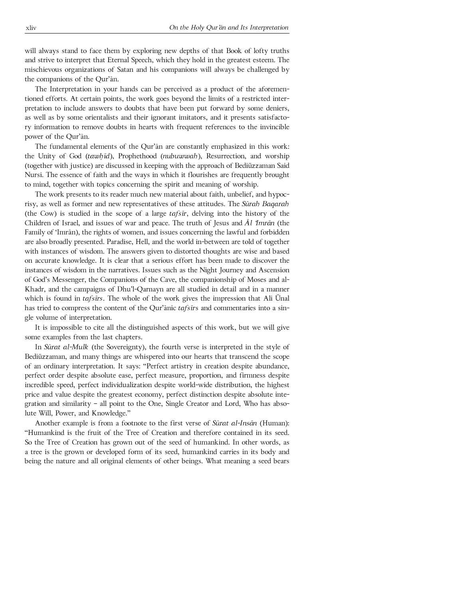will always stand to face them by exploring new depths of that Book of lofty truths and strive to interpret that Eternal Speech, which they hold in the greatest esteem. The mischievous organizations of Satan and his companions will always be challenged by the companions of the Qur'ān.

The Interpretation in your hands can be perceived as a product of the aforementioned efforts. At certain points, the work goes beyond the limits of a restricted interpretation to include answers to doubts that have been put forward by some deniers, as well as by some orientalists and their ignorant imitators, and it presents satisfactory information to remove doubts in hearts with frequent references to the invincible power of the Qur'ān.

The fundamental elements of the Qur'ān are constantly emphasized in this work: the Unity of God (*tawḥīd*), Prophethood (*nubuwwah*), Resurrection, and worship (together with justice) are discussed in keeping with the approach of Bediüzzaman Said Nursi. The essence of faith and the ways in which it flourishes are frequently brought to mind, together with topics concerning the spirit and meaning of worship.

The work presents to its reader much new material about faith, unbelief, and hypocrisy, as well as former and new representatives of these attitudes. The *Sūrah Baqarah* (the Cow) is studied in the scope of a large *tafsīr*, delving into the history of the Children of Israel, and issues of war and peace. The truth of Jesus and *Āl 'Imrān* (the Family of 'Imrān), the rights of women, and issues concerning the lawful and forbidden are also broadly presented. Paradise, Hell, and the world in-between are told of together with instances of wisdom. The answers given to distorted thoughts are wise and based on accurate knowledge. It is clear that a serious effort has been made to discover the instances of wisdom in the narratives. Issues such as the Night Journey and Ascension of God's Messenger, the Companions of the Cave, the companionship of Moses and al-Khadr, and the campaigns of Dhu'l-Qarnayn are all studied in detail and in a manner which is found in *tafsīrs*. The whole of the work gives the impression that Ali Ünal has tried to compress the content of the Qur'ānic *tafsīr*s and commentaries into a single volume of interpretation.

It is impossible to cite all the distinguished aspects of this work, but we will give some examples from the last chapters.

In *Sūrat al-Mulk* (the Sovereignty), the fourth verse is interpreted in the style of Bediüzzaman, and many things are whispered into our hearts that transcend the scope of an ordinary interpretation. It says: "Perfect artistry in creation despite abundance, perfect order despite absolute ease, perfect measure, proportion, and firmness despite incredible speed, perfect individualization despite world-wide distribution, the highest price and value despite the greatest economy, perfect distinction despite absolute integration and similarity – all point to the One, Single Creator and Lord, Who has absolute Will, Power, and Knowledge."

Another example is from a footnote to the first verse of *Sūrat al-Insān* (Human): "Humankind is the fruit of the Tree of Creation and therefore contained in its seed. So the Tree of Creation has grown out of the seed of humankind. In other words, as a tree is the grown or developed form of its seed, humankind carries in its body and being the nature and all original elements of other beings. What meaning a seed bears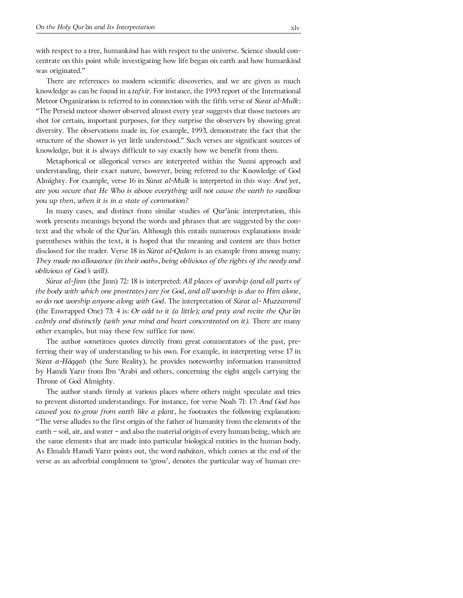with respect to a tree, humankind has with respect to the universe. Science should concentrate on this point while investigating how life began on earth and how humankind was originated."

There are references to modern scientific discoveries, and we are given as much knowledge as can be found in a *tafsīr*. For instance, the 1993 report of the International Meteor Organization is referred to in connection with the fifth verse of *Sūrat al-Mulk*: "The Perseid meteor shower observed almost every year suggests that those meteors are shot for certain, important purposes, for they surprise the observers by showing great diversity. The observations made in, for example, 1993, demonstrate the fact that the structure of the shower is yet little understood." Such verses are significant sources of knowledge, but it is always difficult to say exactly how we benefit from them.

Metaphorical or allegorical verses are interpreted within the Sunni approach and understanding, their exact nature, however, being referred to the Knowledge of God Almighty. For example, verse 16 in *Sūrat al-Mulk* is interpreted in this way: *And yet, are you secure that He Who is above everything will not cause the earth to swallow you up then, when it is in a state of commotion?*

In many cases, and distinct from similar studies of Qur'ānic interpretation, this work presents meanings beyond the words and phrases that are suggested by the context and the whole of the Qur'ān. Although this entails numerous explanations inside parentheses within the text, it is hoped that the meaning and content are thus better disclosed for the reader. Verse 18 in *Sūrat al-Qalam* is an example from among many: *They made no allowance (in their oaths, being oblivious of the rights of the needy and oblivious of God's will).*

*Sūrat al-Jinn* (the Jinn) 72: 18 is interpreted: *All places of worship (and all parts of the body with which one prostrates) are for God, and all worship is due to Him alone, so do not worship anyone along with God*. The interpretation of *Sūrat al- Muzzammil* (the Enwrapped One) 73: 4 is: *Or add to it (a little); and pray and recite the Qur'ān calmly and distinctly (with your mind and heart concentrated on it).* There are many other examples, but may these few suffice for now.

The author sometimes quotes directly from great commentators of the past, preferring their way of understanding to his own. For example, in interpreting verse 17 in *Sūrat a-Hāqqah* (the Sure Reality), he provides noteworthy information transmitted by Hamdi Yazır from Ibn 'Arabī and others, concerning the eight angels carrying the Throne of God Almighty.

The author stands firmly at various places where others might speculate and tries to prevent distorted understandings. For instance, for verse Noah 71: 17: *And God has caused you to grow from earth like a plant*, he footnotes the following explanation: "The verse alludes to the first origin of the father of humanity from the elements of the earth – soil, air, and water – and also the material origin of every human being, which are the same elements that are made into particular biological entities in the human body. As Elmalılı Hamdi Yazır points out, the word *nabātan,* which comes at the end of the verse as an adverbial complement to 'grow', denotes the particular way of human cre